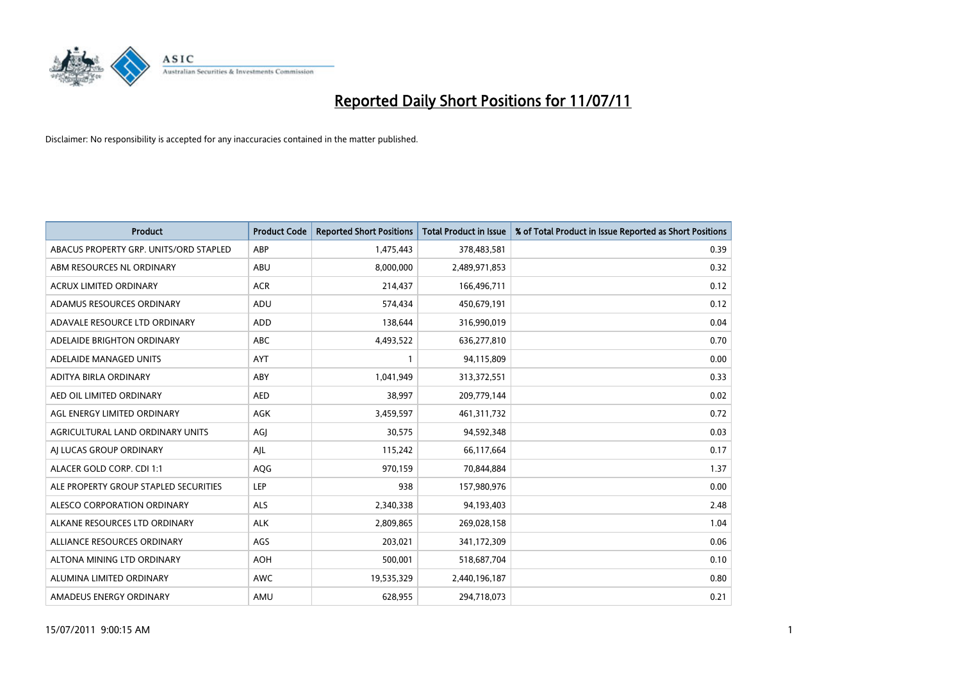

| <b>Product</b>                         | <b>Product Code</b> | <b>Reported Short Positions</b> | <b>Total Product in Issue</b> | % of Total Product in Issue Reported as Short Positions |
|----------------------------------------|---------------------|---------------------------------|-------------------------------|---------------------------------------------------------|
| ABACUS PROPERTY GRP. UNITS/ORD STAPLED | ABP                 | 1,475,443                       | 378,483,581                   | 0.39                                                    |
| ABM RESOURCES NL ORDINARY              | ABU                 | 8,000,000                       | 2,489,971,853                 | 0.32                                                    |
| <b>ACRUX LIMITED ORDINARY</b>          | <b>ACR</b>          | 214,437                         | 166,496,711                   | 0.12                                                    |
| ADAMUS RESOURCES ORDINARY              | ADU                 | 574,434                         | 450,679,191                   | 0.12                                                    |
| ADAVALE RESOURCE LTD ORDINARY          | ADD                 | 138,644                         | 316,990,019                   | 0.04                                                    |
| ADELAIDE BRIGHTON ORDINARY             | <b>ABC</b>          | 4,493,522                       | 636,277,810                   | 0.70                                                    |
| ADELAIDE MANAGED UNITS                 | <b>AYT</b>          |                                 | 94,115,809                    | 0.00                                                    |
| ADITYA BIRLA ORDINARY                  | ABY                 | 1,041,949                       | 313,372,551                   | 0.33                                                    |
| AED OIL LIMITED ORDINARY               | <b>AED</b>          | 38,997                          | 209,779,144                   | 0.02                                                    |
| AGL ENERGY LIMITED ORDINARY            | <b>AGK</b>          | 3,459,597                       | 461,311,732                   | 0.72                                                    |
| AGRICULTURAL LAND ORDINARY UNITS       | AGJ                 | 30,575                          | 94,592,348                    | 0.03                                                    |
| AI LUCAS GROUP ORDINARY                | AJL                 | 115,242                         | 66,117,664                    | 0.17                                                    |
| ALACER GOLD CORP. CDI 1:1              | AQG                 | 970,159                         | 70,844,884                    | 1.37                                                    |
| ALE PROPERTY GROUP STAPLED SECURITIES  | <b>LEP</b>          | 938                             | 157,980,976                   | 0.00                                                    |
| ALESCO CORPORATION ORDINARY            | <b>ALS</b>          | 2,340,338                       | 94,193,403                    | 2.48                                                    |
| ALKANE RESOURCES LTD ORDINARY          | <b>ALK</b>          | 2,809,865                       | 269,028,158                   | 1.04                                                    |
| ALLIANCE RESOURCES ORDINARY            | AGS                 | 203,021                         | 341,172,309                   | 0.06                                                    |
| ALTONA MINING LTD ORDINARY             | <b>AOH</b>          | 500,001                         | 518,687,704                   | 0.10                                                    |
| ALUMINA LIMITED ORDINARY               | <b>AWC</b>          | 19,535,329                      | 2,440,196,187                 | 0.80                                                    |
| AMADEUS ENERGY ORDINARY                | AMU                 | 628.955                         | 294,718,073                   | 0.21                                                    |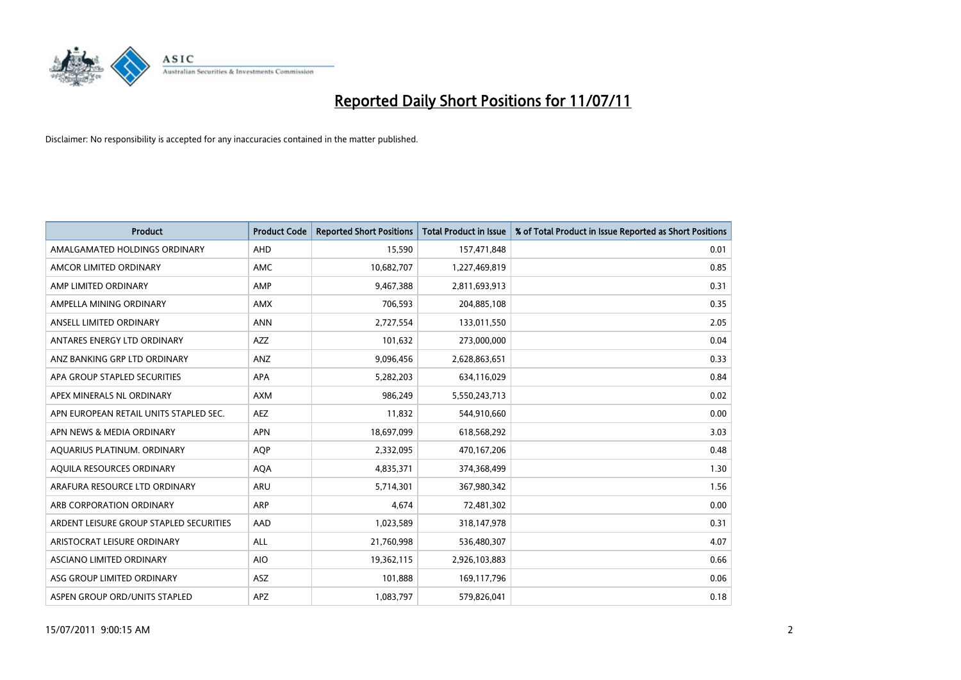

| <b>Product</b>                          | <b>Product Code</b> | <b>Reported Short Positions</b> | Total Product in Issue | % of Total Product in Issue Reported as Short Positions |
|-----------------------------------------|---------------------|---------------------------------|------------------------|---------------------------------------------------------|
| AMALGAMATED HOLDINGS ORDINARY           | AHD                 | 15,590                          | 157,471,848            | 0.01                                                    |
| AMCOR LIMITED ORDINARY                  | <b>AMC</b>          | 10,682,707                      | 1,227,469,819          | 0.85                                                    |
| AMP LIMITED ORDINARY                    | AMP                 | 9,467,388                       | 2,811,693,913          | 0.31                                                    |
| AMPELLA MINING ORDINARY                 | <b>AMX</b>          | 706,593                         | 204,885,108            | 0.35                                                    |
| ANSELL LIMITED ORDINARY                 | <b>ANN</b>          | 2,727,554                       | 133,011,550            | 2.05                                                    |
| ANTARES ENERGY LTD ORDINARY             | <b>AZZ</b>          | 101,632                         | 273,000,000            | 0.04                                                    |
| ANZ BANKING GRP LTD ORDINARY            | ANZ                 | 9,096,456                       | 2,628,863,651          | 0.33                                                    |
| APA GROUP STAPLED SECURITIES            | <b>APA</b>          | 5,282,203                       | 634,116,029            | 0.84                                                    |
| APEX MINERALS NL ORDINARY               | <b>AXM</b>          | 986,249                         | 5,550,243,713          | 0.02                                                    |
| APN EUROPEAN RETAIL UNITS STAPLED SEC.  | <b>AEZ</b>          | 11,832                          | 544,910,660            | 0.00                                                    |
| APN NEWS & MEDIA ORDINARY               | <b>APN</b>          | 18,697,099                      | 618,568,292            | 3.03                                                    |
| AQUARIUS PLATINUM. ORDINARY             | <b>AOP</b>          | 2,332,095                       | 470,167,206            | 0.48                                                    |
| AQUILA RESOURCES ORDINARY               | <b>AQA</b>          | 4,835,371                       | 374,368,499            | 1.30                                                    |
| ARAFURA RESOURCE LTD ORDINARY           | <b>ARU</b>          | 5,714,301                       | 367,980,342            | 1.56                                                    |
| ARB CORPORATION ORDINARY                | <b>ARP</b>          | 4,674                           | 72,481,302             | 0.00                                                    |
| ARDENT LEISURE GROUP STAPLED SECURITIES | AAD                 | 1,023,589                       | 318,147,978            | 0.31                                                    |
| ARISTOCRAT LEISURE ORDINARY             | <b>ALL</b>          | 21,760,998                      | 536,480,307            | 4.07                                                    |
| ASCIANO LIMITED ORDINARY                | <b>AIO</b>          | 19,362,115                      | 2,926,103,883          | 0.66                                                    |
| ASG GROUP LIMITED ORDINARY              | <b>ASZ</b>          | 101,888                         | 169,117,796            | 0.06                                                    |
| ASPEN GROUP ORD/UNITS STAPLED           | <b>APZ</b>          | 1,083,797                       | 579,826,041            | 0.18                                                    |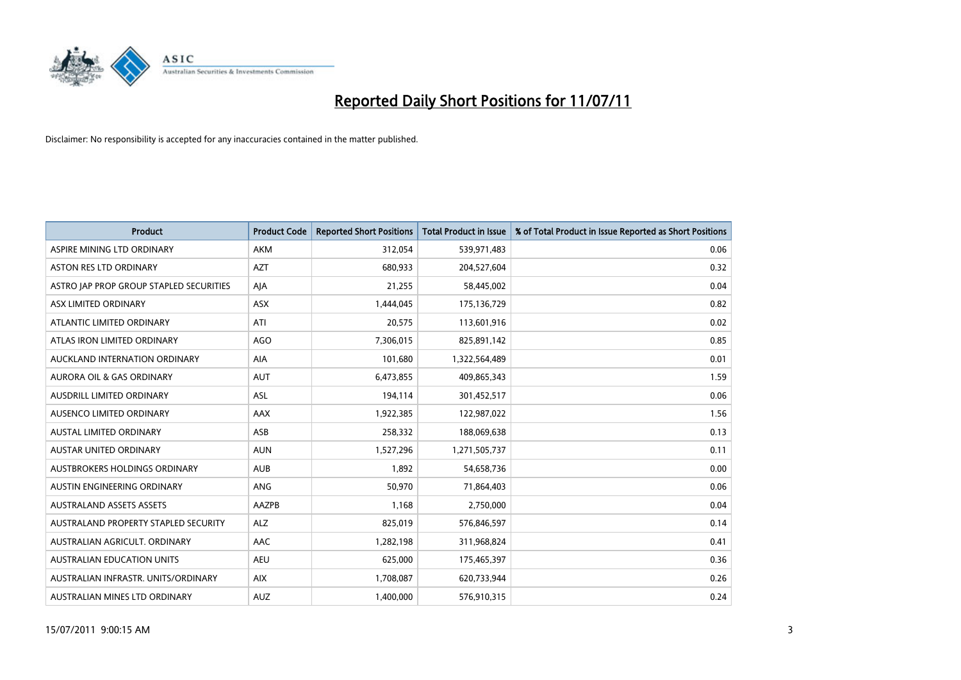

| <b>Product</b>                          | <b>Product Code</b> | <b>Reported Short Positions</b> | Total Product in Issue | % of Total Product in Issue Reported as Short Positions |
|-----------------------------------------|---------------------|---------------------------------|------------------------|---------------------------------------------------------|
| ASPIRE MINING LTD ORDINARY              | <b>AKM</b>          | 312,054                         | 539,971,483            | 0.06                                                    |
| <b>ASTON RES LTD ORDINARY</b>           | <b>AZT</b>          | 680,933                         | 204,527,604            | 0.32                                                    |
| ASTRO JAP PROP GROUP STAPLED SECURITIES | AJA                 | 21,255                          | 58,445,002             | 0.04                                                    |
| ASX LIMITED ORDINARY                    | <b>ASX</b>          | 1,444,045                       | 175,136,729            | 0.82                                                    |
| ATLANTIC LIMITED ORDINARY               | ATI                 | 20,575                          | 113,601,916            | 0.02                                                    |
| ATLAS IRON LIMITED ORDINARY             | <b>AGO</b>          | 7,306,015                       | 825,891,142            | 0.85                                                    |
| AUCKLAND INTERNATION ORDINARY           | <b>AIA</b>          | 101,680                         | 1,322,564,489          | 0.01                                                    |
| <b>AURORA OIL &amp; GAS ORDINARY</b>    | <b>AUT</b>          | 6,473,855                       | 409,865,343            | 1.59                                                    |
| AUSDRILL LIMITED ORDINARY               | <b>ASL</b>          | 194,114                         | 301,452,517            | 0.06                                                    |
| AUSENCO LIMITED ORDINARY                | <b>AAX</b>          | 1,922,385                       | 122,987,022            | 1.56                                                    |
| AUSTAL LIMITED ORDINARY                 | ASB                 | 258,332                         | 188,069,638            | 0.13                                                    |
| <b>AUSTAR UNITED ORDINARY</b>           | <b>AUN</b>          | 1,527,296                       | 1,271,505,737          | 0.11                                                    |
| AUSTBROKERS HOLDINGS ORDINARY           | <b>AUB</b>          | 1.892                           | 54,658,736             | 0.00                                                    |
| AUSTIN ENGINEERING ORDINARY             | ANG                 | 50.970                          | 71,864,403             | 0.06                                                    |
| <b>AUSTRALAND ASSETS ASSETS</b>         | AAZPB               | 1,168                           | 2,750,000              | 0.04                                                    |
| AUSTRALAND PROPERTY STAPLED SECURITY    | <b>ALZ</b>          | 825,019                         | 576,846,597            | 0.14                                                    |
| AUSTRALIAN AGRICULT, ORDINARY           | <b>AAC</b>          | 1,282,198                       | 311,968,824            | 0.41                                                    |
| AUSTRALIAN EDUCATION UNITS              | <b>AEU</b>          | 625,000                         | 175,465,397            | 0.36                                                    |
| AUSTRALIAN INFRASTR, UNITS/ORDINARY     | <b>AIX</b>          | 1,708,087                       | 620,733,944            | 0.26                                                    |
| AUSTRALIAN MINES LTD ORDINARY           | <b>AUZ</b>          | 1.400.000                       | 576,910,315            | 0.24                                                    |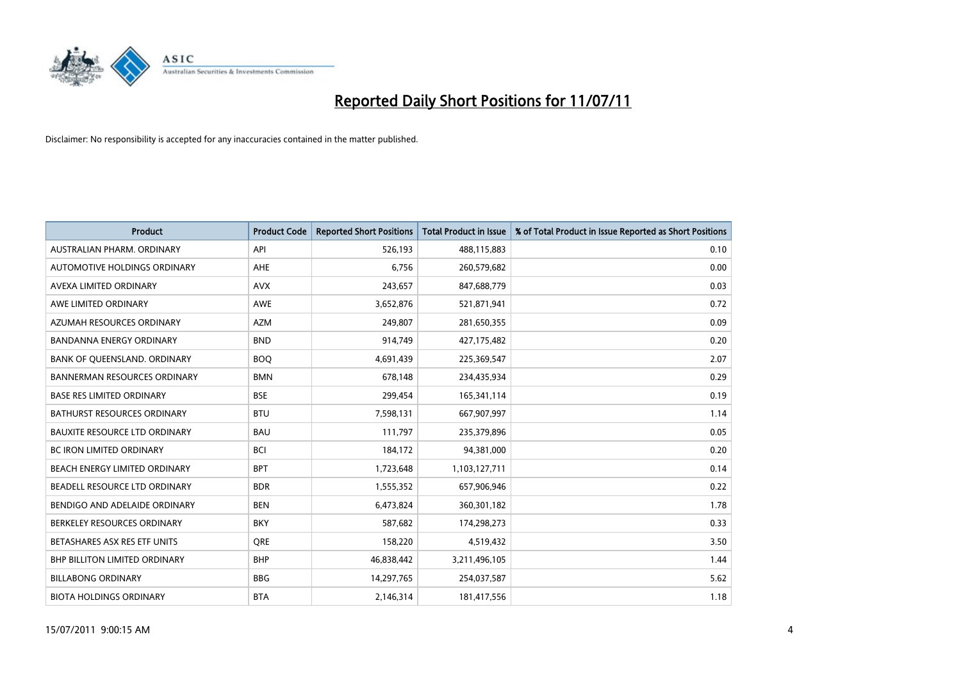

| <b>Product</b>                       | <b>Product Code</b> | <b>Reported Short Positions</b> | <b>Total Product in Issue</b> | % of Total Product in Issue Reported as Short Positions |
|--------------------------------------|---------------------|---------------------------------|-------------------------------|---------------------------------------------------------|
| AUSTRALIAN PHARM, ORDINARY           | API                 | 526,193                         | 488,115,883                   | 0.10                                                    |
| AUTOMOTIVE HOLDINGS ORDINARY         | <b>AHE</b>          | 6,756                           | 260,579,682                   | 0.00                                                    |
| AVEXA LIMITED ORDINARY               | <b>AVX</b>          | 243,657                         | 847,688,779                   | 0.03                                                    |
| AWE LIMITED ORDINARY                 | <b>AWE</b>          | 3,652,876                       | 521,871,941                   | 0.72                                                    |
| AZUMAH RESOURCES ORDINARY            | <b>AZM</b>          | 249,807                         | 281,650,355                   | 0.09                                                    |
| <b>BANDANNA ENERGY ORDINARY</b>      | <b>BND</b>          | 914,749                         | 427,175,482                   | 0.20                                                    |
| BANK OF QUEENSLAND. ORDINARY         | <b>BOO</b>          | 4,691,439                       | 225,369,547                   | 2.07                                                    |
| <b>BANNERMAN RESOURCES ORDINARY</b>  | <b>BMN</b>          | 678,148                         | 234,435,934                   | 0.29                                                    |
| <b>BASE RES LIMITED ORDINARY</b>     | <b>BSE</b>          | 299,454                         | 165,341,114                   | 0.19                                                    |
| <b>BATHURST RESOURCES ORDINARY</b>   | <b>BTU</b>          | 7,598,131                       | 667,907,997                   | 1.14                                                    |
| <b>BAUXITE RESOURCE LTD ORDINARY</b> | <b>BAU</b>          | 111,797                         | 235,379,896                   | 0.05                                                    |
| <b>BC IRON LIMITED ORDINARY</b>      | <b>BCI</b>          | 184,172                         | 94,381,000                    | 0.20                                                    |
| BEACH ENERGY LIMITED ORDINARY        | <b>BPT</b>          | 1,723,648                       | 1,103,127,711                 | 0.14                                                    |
| BEADELL RESOURCE LTD ORDINARY        | <b>BDR</b>          | 1,555,352                       | 657,906,946                   | 0.22                                                    |
| BENDIGO AND ADELAIDE ORDINARY        | <b>BEN</b>          | 6,473,824                       | 360,301,182                   | 1.78                                                    |
| BERKELEY RESOURCES ORDINARY          | <b>BKY</b>          | 587,682                         | 174,298,273                   | 0.33                                                    |
| BETASHARES ASX RES ETF UNITS         | <b>ORE</b>          | 158,220                         | 4,519,432                     | 3.50                                                    |
| BHP BILLITON LIMITED ORDINARY        | <b>BHP</b>          | 46,838,442                      | 3,211,496,105                 | 1.44                                                    |
| <b>BILLABONG ORDINARY</b>            | <b>BBG</b>          | 14,297,765                      | 254,037,587                   | 5.62                                                    |
| <b>BIOTA HOLDINGS ORDINARY</b>       | <b>BTA</b>          | 2,146,314                       | 181,417,556                   | 1.18                                                    |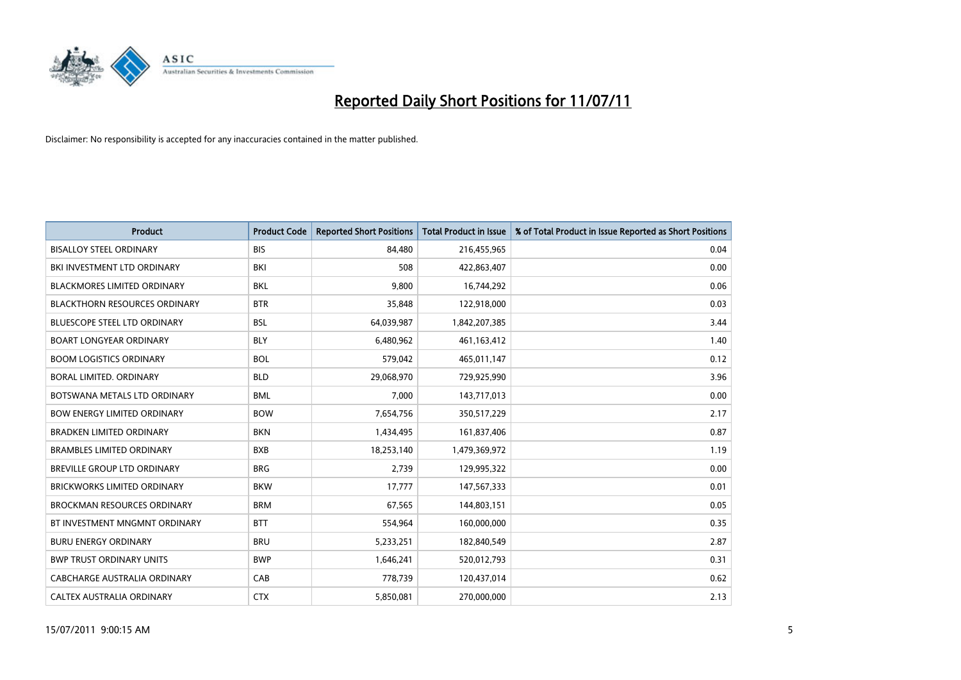

| <b>Product</b>                       | <b>Product Code</b> | <b>Reported Short Positions</b> | <b>Total Product in Issue</b> | % of Total Product in Issue Reported as Short Positions |
|--------------------------------------|---------------------|---------------------------------|-------------------------------|---------------------------------------------------------|
| <b>BISALLOY STEEL ORDINARY</b>       | <b>BIS</b>          | 84.480                          | 216,455,965                   | 0.04                                                    |
| BKI INVESTMENT LTD ORDINARY          | BKI                 | 508                             | 422,863,407                   | 0.00                                                    |
| <b>BLACKMORES LIMITED ORDINARY</b>   | <b>BKL</b>          | 9,800                           | 16,744,292                    | 0.06                                                    |
| <b>BLACKTHORN RESOURCES ORDINARY</b> | <b>BTR</b>          | 35,848                          | 122,918,000                   | 0.03                                                    |
| <b>BLUESCOPE STEEL LTD ORDINARY</b>  | <b>BSL</b>          | 64,039,987                      | 1,842,207,385                 | 3.44                                                    |
| <b>BOART LONGYEAR ORDINARY</b>       | <b>BLY</b>          | 6,480,962                       | 461,163,412                   | 1.40                                                    |
| <b>BOOM LOGISTICS ORDINARY</b>       | <b>BOL</b>          | 579,042                         | 465,011,147                   | 0.12                                                    |
| BORAL LIMITED, ORDINARY              | <b>BLD</b>          | 29,068,970                      | 729,925,990                   | 3.96                                                    |
| BOTSWANA METALS LTD ORDINARY         | <b>BML</b>          | 7,000                           | 143,717,013                   | 0.00                                                    |
| <b>BOW ENERGY LIMITED ORDINARY</b>   | <b>BOW</b>          | 7,654,756                       | 350,517,229                   | 2.17                                                    |
| <b>BRADKEN LIMITED ORDINARY</b>      | <b>BKN</b>          | 1,434,495                       | 161,837,406                   | 0.87                                                    |
| <b>BRAMBLES LIMITED ORDINARY</b>     | <b>BXB</b>          | 18,253,140                      | 1,479,369,972                 | 1.19                                                    |
| <b>BREVILLE GROUP LTD ORDINARY</b>   | <b>BRG</b>          | 2,739                           | 129,995,322                   | 0.00                                                    |
| <b>BRICKWORKS LIMITED ORDINARY</b>   | <b>BKW</b>          | 17,777                          | 147,567,333                   | 0.01                                                    |
| <b>BROCKMAN RESOURCES ORDINARY</b>   | <b>BRM</b>          | 67.565                          | 144,803,151                   | 0.05                                                    |
| BT INVESTMENT MNGMNT ORDINARY        | <b>BTT</b>          | 554,964                         | 160,000,000                   | 0.35                                                    |
| <b>BURU ENERGY ORDINARY</b>          | <b>BRU</b>          | 5,233,251                       | 182,840,549                   | 2.87                                                    |
| <b>BWP TRUST ORDINARY UNITS</b>      | <b>BWP</b>          | 1,646,241                       | 520,012,793                   | 0.31                                                    |
| CABCHARGE AUSTRALIA ORDINARY         | CAB                 | 778,739                         | 120,437,014                   | 0.62                                                    |
| CALTEX AUSTRALIA ORDINARY            | <b>CTX</b>          | 5,850,081                       | 270,000,000                   | 2.13                                                    |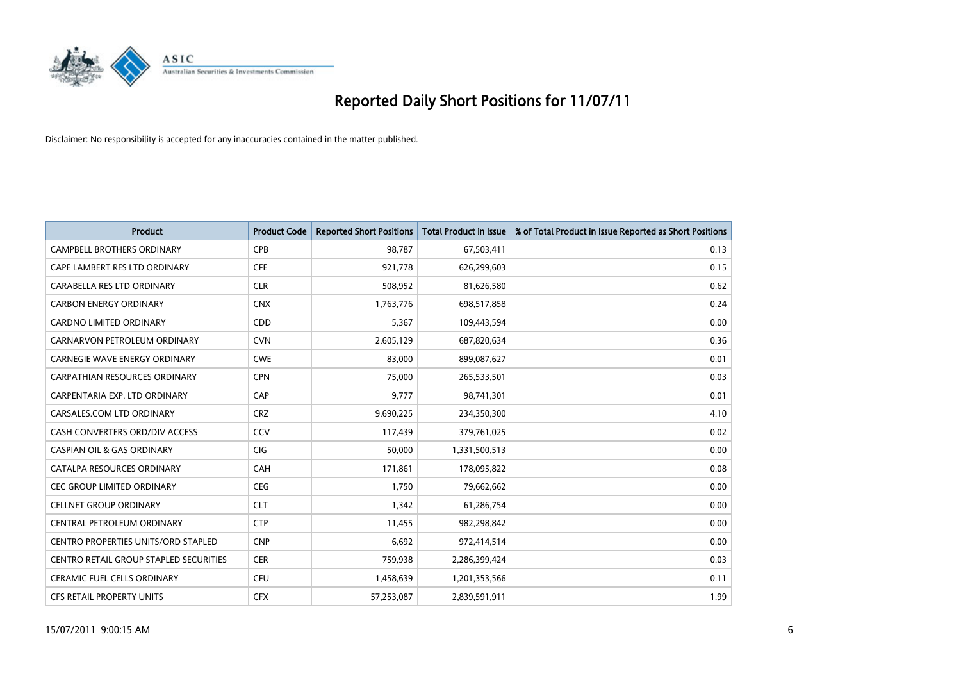

| <b>Product</b>                         | <b>Product Code</b> | <b>Reported Short Positions</b> | <b>Total Product in Issue</b> | % of Total Product in Issue Reported as Short Positions |
|----------------------------------------|---------------------|---------------------------------|-------------------------------|---------------------------------------------------------|
| <b>CAMPBELL BROTHERS ORDINARY</b>      | CPB                 | 98,787                          | 67,503,411                    | 0.13                                                    |
| CAPE LAMBERT RES LTD ORDINARY          | <b>CFE</b>          | 921,778                         | 626,299,603                   | 0.15                                                    |
| CARABELLA RES LTD ORDINARY             | <b>CLR</b>          | 508,952                         | 81,626,580                    | 0.62                                                    |
| <b>CARBON ENERGY ORDINARY</b>          | <b>CNX</b>          | 1,763,776                       | 698,517,858                   | 0.24                                                    |
| <b>CARDNO LIMITED ORDINARY</b>         | CDD                 | 5,367                           | 109,443,594                   | 0.00                                                    |
| CARNARVON PETROLEUM ORDINARY           | <b>CVN</b>          | 2,605,129                       | 687,820,634                   | 0.36                                                    |
| <b>CARNEGIE WAVE ENERGY ORDINARY</b>   | <b>CWE</b>          | 83,000                          | 899,087,627                   | 0.01                                                    |
| <b>CARPATHIAN RESOURCES ORDINARY</b>   | <b>CPN</b>          | 75,000                          | 265,533,501                   | 0.03                                                    |
| CARPENTARIA EXP. LTD ORDINARY          | CAP                 | 9,777                           | 98,741,301                    | 0.01                                                    |
| CARSALES.COM LTD ORDINARY              | <b>CRZ</b>          | 9,690,225                       | 234,350,300                   | 4.10                                                    |
| CASH CONVERTERS ORD/DIV ACCESS         | CCV                 | 117,439                         | 379,761,025                   | 0.02                                                    |
| <b>CASPIAN OIL &amp; GAS ORDINARY</b>  | CIG                 | 50,000                          | 1,331,500,513                 | 0.00                                                    |
| CATALPA RESOURCES ORDINARY             | CAH                 | 171,861                         | 178,095,822                   | 0.08                                                    |
| <b>CEC GROUP LIMITED ORDINARY</b>      | <b>CEG</b>          | 1,750                           | 79,662,662                    | 0.00                                                    |
| <b>CELLNET GROUP ORDINARY</b>          | <b>CLT</b>          | 1,342                           | 61,286,754                    | 0.00                                                    |
| CENTRAL PETROLEUM ORDINARY             | <b>CTP</b>          | 11,455                          | 982,298,842                   | 0.00                                                    |
| CENTRO PROPERTIES UNITS/ORD STAPLED    | <b>CNP</b>          | 6,692                           | 972,414,514                   | 0.00                                                    |
| CENTRO RETAIL GROUP STAPLED SECURITIES | <b>CER</b>          | 759,938                         | 2,286,399,424                 | 0.03                                                    |
| <b>CERAMIC FUEL CELLS ORDINARY</b>     | <b>CFU</b>          | 1,458,639                       | 1,201,353,566                 | 0.11                                                    |
| CFS RETAIL PROPERTY UNITS              | <b>CFX</b>          | 57,253,087                      | 2,839,591,911                 | 1.99                                                    |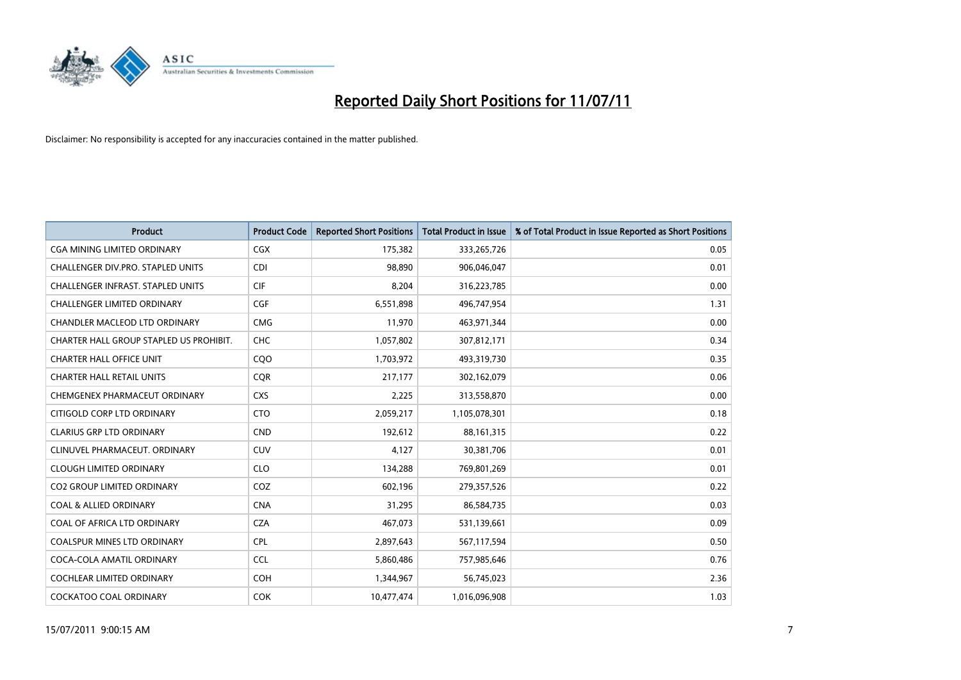

| <b>Product</b>                           | <b>Product Code</b> | <b>Reported Short Positions</b> | Total Product in Issue | % of Total Product in Issue Reported as Short Positions |
|------------------------------------------|---------------------|---------------------------------|------------------------|---------------------------------------------------------|
| <b>CGA MINING LIMITED ORDINARY</b>       | CGX                 | 175,382                         | 333,265,726            | 0.05                                                    |
| CHALLENGER DIV.PRO. STAPLED UNITS        | <b>CDI</b>          | 98.890                          | 906,046,047            | 0.01                                                    |
| <b>CHALLENGER INFRAST, STAPLED UNITS</b> | <b>CIF</b>          | 8,204                           | 316,223,785            | 0.00                                                    |
| CHALLENGER LIMITED ORDINARY              | <b>CGF</b>          | 6,551,898                       | 496,747,954            | 1.31                                                    |
| <b>CHANDLER MACLEOD LTD ORDINARY</b>     | <b>CMG</b>          | 11,970                          | 463,971,344            | 0.00                                                    |
| CHARTER HALL GROUP STAPLED US PROHIBIT.  | <b>CHC</b>          | 1,057,802                       | 307,812,171            | 0.34                                                    |
| <b>CHARTER HALL OFFICE UNIT</b>          | COO                 | 1,703,972                       | 493,319,730            | 0.35                                                    |
| <b>CHARTER HALL RETAIL UNITS</b>         | <b>CQR</b>          | 217,177                         | 302,162,079            | 0.06                                                    |
| CHEMGENEX PHARMACEUT ORDINARY            | <b>CXS</b>          | 2,225                           | 313,558,870            | 0.00                                                    |
| CITIGOLD CORP LTD ORDINARY               | <b>CTO</b>          | 2,059,217                       | 1,105,078,301          | 0.18                                                    |
| <b>CLARIUS GRP LTD ORDINARY</b>          | <b>CND</b>          | 192,612                         | 88,161,315             | 0.22                                                    |
| CLINUVEL PHARMACEUT, ORDINARY            | <b>CUV</b>          | 4,127                           | 30,381,706             | 0.01                                                    |
| <b>CLOUGH LIMITED ORDINARY</b>           | <b>CLO</b>          | 134,288                         | 769,801,269            | 0.01                                                    |
| <b>CO2 GROUP LIMITED ORDINARY</b>        | COZ                 | 602.196                         | 279,357,526            | 0.22                                                    |
| <b>COAL &amp; ALLIED ORDINARY</b>        | <b>CNA</b>          | 31,295                          | 86,584,735             | 0.03                                                    |
| COAL OF AFRICA LTD ORDINARY              | <b>CZA</b>          | 467,073                         | 531,139,661            | 0.09                                                    |
| <b>COALSPUR MINES LTD ORDINARY</b>       | <b>CPL</b>          | 2,897,643                       | 567,117,594            | 0.50                                                    |
| COCA-COLA AMATIL ORDINARY                | <b>CCL</b>          | 5,860,486                       | 757,985,646            | 0.76                                                    |
| <b>COCHLEAR LIMITED ORDINARY</b>         | <b>COH</b>          | 1,344,967                       | 56,745,023             | 2.36                                                    |
| <b>COCKATOO COAL ORDINARY</b>            | <b>COK</b>          | 10.477.474                      | 1,016,096,908          | 1.03                                                    |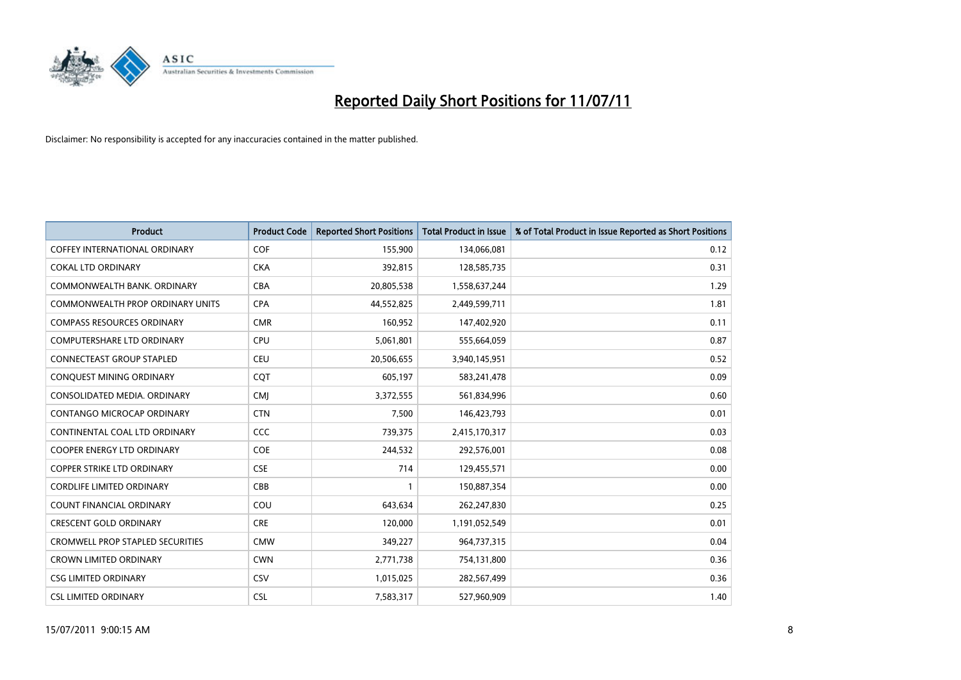

| <b>Product</b>                          | <b>Product Code</b> | <b>Reported Short Positions</b> | <b>Total Product in Issue</b> | % of Total Product in Issue Reported as Short Positions |
|-----------------------------------------|---------------------|---------------------------------|-------------------------------|---------------------------------------------------------|
| <b>COFFEY INTERNATIONAL ORDINARY</b>    | COF                 | 155,900                         | 134,066,081                   | 0.12                                                    |
| <b>COKAL LTD ORDINARY</b>               | <b>CKA</b>          | 392,815                         | 128,585,735                   | 0.31                                                    |
| COMMONWEALTH BANK, ORDINARY             | <b>CBA</b>          | 20,805,538                      | 1,558,637,244                 | 1.29                                                    |
| COMMONWEALTH PROP ORDINARY UNITS        | <b>CPA</b>          | 44,552,825                      | 2,449,599,711                 | 1.81                                                    |
| <b>COMPASS RESOURCES ORDINARY</b>       | <b>CMR</b>          | 160,952                         | 147,402,920                   | 0.11                                                    |
| <b>COMPUTERSHARE LTD ORDINARY</b>       | CPU                 | 5,061,801                       | 555,664,059                   | 0.87                                                    |
| <b>CONNECTEAST GROUP STAPLED</b>        | <b>CEU</b>          | 20,506,655                      | 3,940,145,951                 | 0.52                                                    |
| CONQUEST MINING ORDINARY                | <b>COT</b>          | 605,197                         | 583,241,478                   | 0.09                                                    |
| CONSOLIDATED MEDIA, ORDINARY            | <b>CMI</b>          | 3,372,555                       | 561,834,996                   | 0.60                                                    |
| <b>CONTANGO MICROCAP ORDINARY</b>       | <b>CTN</b>          | 7,500                           | 146,423,793                   | 0.01                                                    |
| CONTINENTAL COAL LTD ORDINARY           | CCC                 | 739,375                         | 2,415,170,317                 | 0.03                                                    |
| <b>COOPER ENERGY LTD ORDINARY</b>       | <b>COE</b>          | 244,532                         | 292,576,001                   | 0.08                                                    |
| COPPER STRIKE LTD ORDINARY              | <b>CSE</b>          | 714                             | 129,455,571                   | 0.00                                                    |
| CORDLIFE LIMITED ORDINARY               | CBB                 |                                 | 150,887,354                   | 0.00                                                    |
| <b>COUNT FINANCIAL ORDINARY</b>         | COU                 | 643,634                         | 262,247,830                   | 0.25                                                    |
| <b>CRESCENT GOLD ORDINARY</b>           | <b>CRE</b>          | 120,000                         | 1,191,052,549                 | 0.01                                                    |
| <b>CROMWELL PROP STAPLED SECURITIES</b> | <b>CMW</b>          | 349,227                         | 964,737,315                   | 0.04                                                    |
| <b>CROWN LIMITED ORDINARY</b>           | <b>CWN</b>          | 2,771,738                       | 754,131,800                   | 0.36                                                    |
| <b>CSG LIMITED ORDINARY</b>             | CSV                 | 1,015,025                       | 282,567,499                   | 0.36                                                    |
| <b>CSL LIMITED ORDINARY</b>             | <b>CSL</b>          | 7,583,317                       | 527,960,909                   | 1.40                                                    |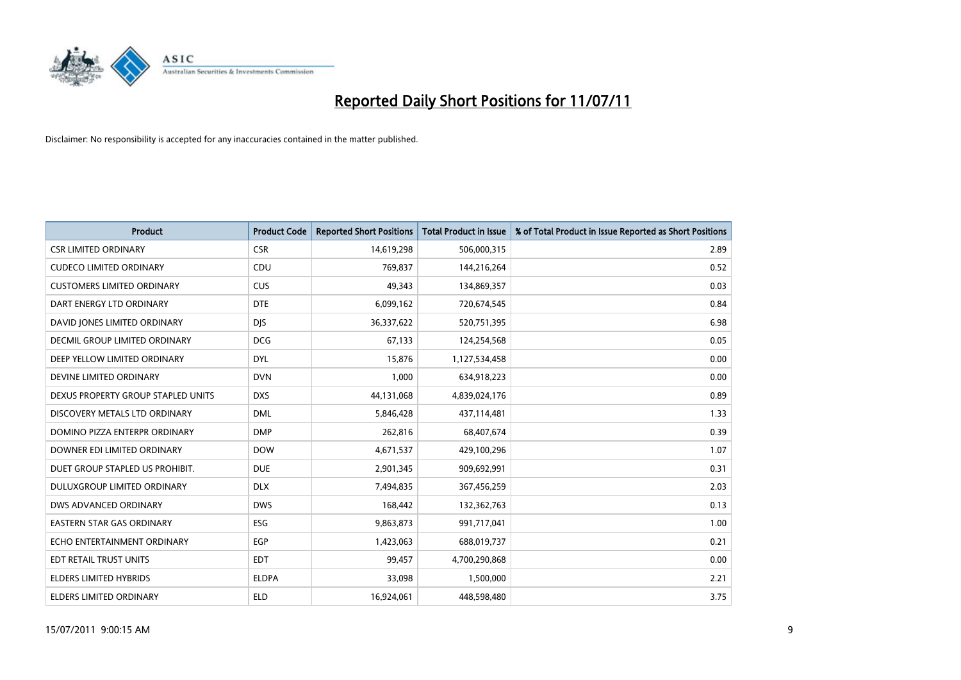

| <b>Product</b>                     | <b>Product Code</b> | <b>Reported Short Positions</b> | <b>Total Product in Issue</b> | % of Total Product in Issue Reported as Short Positions |
|------------------------------------|---------------------|---------------------------------|-------------------------------|---------------------------------------------------------|
| <b>CSR LIMITED ORDINARY</b>        | <b>CSR</b>          | 14,619,298                      | 506,000,315                   | 2.89                                                    |
| <b>CUDECO LIMITED ORDINARY</b>     | CDU                 | 769,837                         | 144,216,264                   | 0.52                                                    |
| <b>CUSTOMERS LIMITED ORDINARY</b>  | <b>CUS</b>          | 49.343                          | 134,869,357                   | 0.03                                                    |
| DART ENERGY LTD ORDINARY           | <b>DTE</b>          | 6,099,162                       | 720,674,545                   | 0.84                                                    |
| DAVID JONES LIMITED ORDINARY       | <b>DIS</b>          | 36,337,622                      | 520,751,395                   | 6.98                                                    |
| DECMIL GROUP LIMITED ORDINARY      | <b>DCG</b>          | 67,133                          | 124,254,568                   | 0.05                                                    |
| DEEP YELLOW LIMITED ORDINARY       | <b>DYL</b>          | 15,876                          | 1,127,534,458                 | 0.00                                                    |
| DEVINE LIMITED ORDINARY            | <b>DVN</b>          | 1,000                           | 634,918,223                   | 0.00                                                    |
| DEXUS PROPERTY GROUP STAPLED UNITS | <b>DXS</b>          | 44,131,068                      | 4,839,024,176                 | 0.89                                                    |
| DISCOVERY METALS LTD ORDINARY      | <b>DML</b>          | 5,846,428                       | 437,114,481                   | 1.33                                                    |
| DOMINO PIZZA ENTERPR ORDINARY      | <b>DMP</b>          | 262,816                         | 68,407,674                    | 0.39                                                    |
| DOWNER EDI LIMITED ORDINARY        | <b>DOW</b>          | 4,671,537                       | 429,100,296                   | 1.07                                                    |
| DUET GROUP STAPLED US PROHIBIT.    | <b>DUE</b>          | 2,901,345                       | 909,692,991                   | 0.31                                                    |
| DULUXGROUP LIMITED ORDINARY        | <b>DLX</b>          | 7,494,835                       | 367,456,259                   | 2.03                                                    |
| <b>DWS ADVANCED ORDINARY</b>       | <b>DWS</b>          | 168,442                         | 132,362,763                   | 0.13                                                    |
| <b>EASTERN STAR GAS ORDINARY</b>   | ESG                 | 9,863,873                       | 991,717,041                   | 1.00                                                    |
| ECHO ENTERTAINMENT ORDINARY        | <b>EGP</b>          | 1,423,063                       | 688,019,737                   | 0.21                                                    |
| EDT RETAIL TRUST UNITS             | <b>EDT</b>          | 99,457                          | 4,700,290,868                 | 0.00                                                    |
| ELDERS LIMITED HYBRIDS             | <b>ELDPA</b>        | 33,098                          | 1,500,000                     | 2.21                                                    |
| ELDERS LIMITED ORDINARY            | <b>ELD</b>          | 16,924,061                      | 448,598,480                   | 3.75                                                    |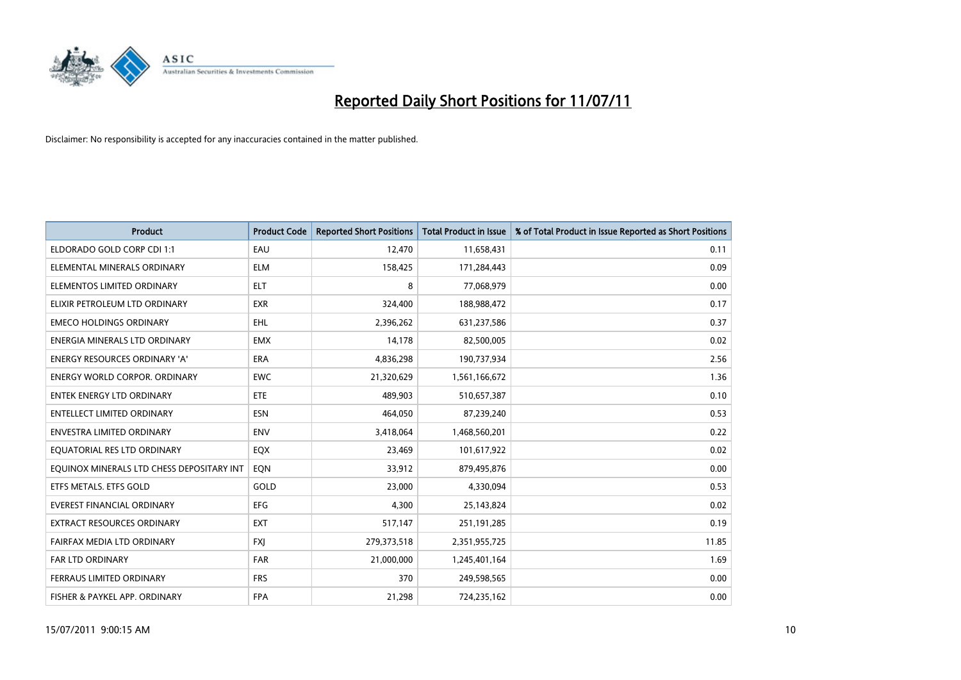

| <b>Product</b>                            | <b>Product Code</b> | <b>Reported Short Positions</b> | Total Product in Issue | % of Total Product in Issue Reported as Short Positions |
|-------------------------------------------|---------------------|---------------------------------|------------------------|---------------------------------------------------------|
| ELDORADO GOLD CORP CDI 1:1                | EAU                 | 12,470                          | 11,658,431             | 0.11                                                    |
| ELEMENTAL MINERALS ORDINARY               | <b>ELM</b>          | 158,425                         | 171,284,443            | 0.09                                                    |
| ELEMENTOS LIMITED ORDINARY                | <b>ELT</b>          | 8                               | 77,068,979             | 0.00                                                    |
| ELIXIR PETROLEUM LTD ORDINARY             | <b>EXR</b>          | 324,400                         | 188,988,472            | 0.17                                                    |
| <b>EMECO HOLDINGS ORDINARY</b>            | <b>EHL</b>          | 2,396,262                       | 631,237,586            | 0.37                                                    |
| ENERGIA MINERALS LTD ORDINARY             | <b>EMX</b>          | 14,178                          | 82,500,005             | 0.02                                                    |
| <b>ENERGY RESOURCES ORDINARY 'A'</b>      | <b>ERA</b>          | 4,836,298                       | 190,737,934            | 2.56                                                    |
| ENERGY WORLD CORPOR. ORDINARY             | <b>EWC</b>          | 21,320,629                      | 1,561,166,672          | 1.36                                                    |
| <b>ENTEK ENERGY LTD ORDINARY</b>          | <b>ETE</b>          | 489.903                         | 510,657,387            | 0.10                                                    |
| <b>ENTELLECT LIMITED ORDINARY</b>         | <b>ESN</b>          | 464,050                         | 87,239,240             | 0.53                                                    |
| ENVESTRA LIMITED ORDINARY                 | <b>ENV</b>          | 3,418,064                       | 1,468,560,201          | 0.22                                                    |
| EQUATORIAL RES LTD ORDINARY               | EQX                 | 23,469                          | 101,617,922            | 0.02                                                    |
| EQUINOX MINERALS LTD CHESS DEPOSITARY INT | EON                 | 33,912                          | 879,495,876            | 0.00                                                    |
| ETFS METALS. ETFS GOLD                    | GOLD                | 23,000                          | 4,330,094              | 0.53                                                    |
| <b>EVEREST FINANCIAL ORDINARY</b>         | <b>EFG</b>          | 4,300                           | 25,143,824             | 0.02                                                    |
| EXTRACT RESOURCES ORDINARY                | <b>EXT</b>          | 517,147                         | 251,191,285            | 0.19                                                    |
| FAIRFAX MEDIA LTD ORDINARY                | <b>FXI</b>          | 279,373,518                     | 2,351,955,725          | 11.85                                                   |
| <b>FAR LTD ORDINARY</b>                   | <b>FAR</b>          | 21,000,000                      | 1,245,401,164          | 1.69                                                    |
| FERRAUS LIMITED ORDINARY                  | <b>FRS</b>          | 370                             | 249,598,565            | 0.00                                                    |
| FISHER & PAYKEL APP. ORDINARY             | <b>FPA</b>          | 21,298                          | 724,235,162            | 0.00                                                    |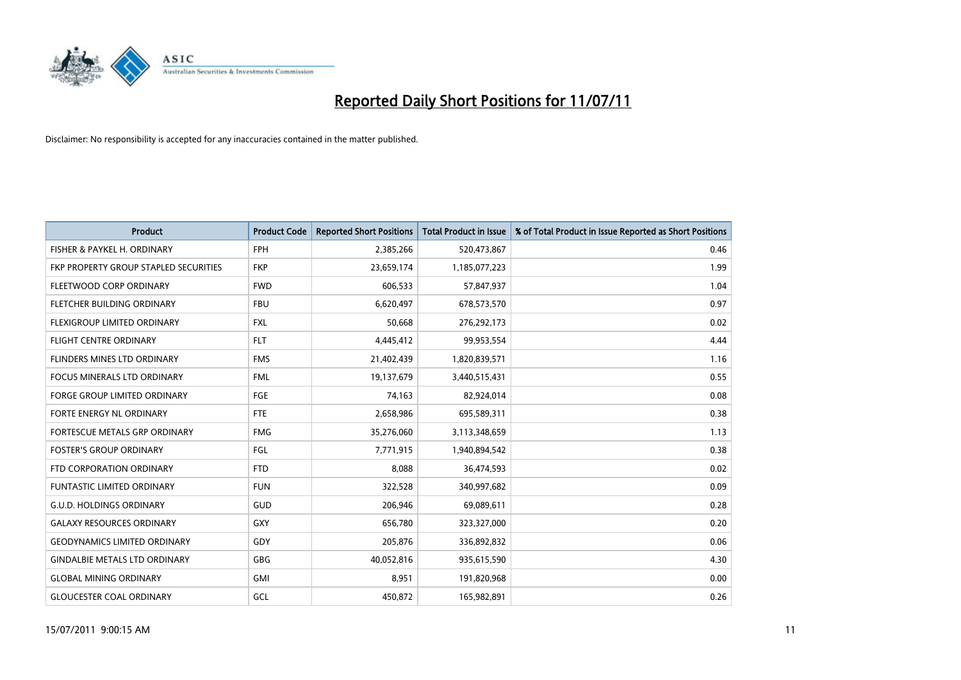

| <b>Product</b>                        | <b>Product Code</b> | <b>Reported Short Positions</b> | <b>Total Product in Issue</b> | % of Total Product in Issue Reported as Short Positions |
|---------------------------------------|---------------------|---------------------------------|-------------------------------|---------------------------------------------------------|
| FISHER & PAYKEL H. ORDINARY           | <b>FPH</b>          | 2,385,266                       | 520,473,867                   | 0.46                                                    |
| FKP PROPERTY GROUP STAPLED SECURITIES | <b>FKP</b>          | 23,659,174                      | 1,185,077,223                 | 1.99                                                    |
| FLEETWOOD CORP ORDINARY               | <b>FWD</b>          | 606,533                         | 57,847,937                    | 1.04                                                    |
| FLETCHER BUILDING ORDINARY            | <b>FBU</b>          | 6,620,497                       | 678,573,570                   | 0.97                                                    |
| FLEXIGROUP LIMITED ORDINARY           | <b>FXL</b>          | 50,668                          | 276,292,173                   | 0.02                                                    |
| <b>FLIGHT CENTRE ORDINARY</b>         | <b>FLT</b>          | 4,445,412                       | 99,953,554                    | 4.44                                                    |
| <b>FLINDERS MINES LTD ORDINARY</b>    | <b>FMS</b>          | 21,402,439                      | 1,820,839,571                 | 1.16                                                    |
| <b>FOCUS MINERALS LTD ORDINARY</b>    | <b>FML</b>          | 19,137,679                      | 3,440,515,431                 | 0.55                                                    |
| FORGE GROUP LIMITED ORDINARY          | <b>FGE</b>          | 74,163                          | 82,924,014                    | 0.08                                                    |
| FORTE ENERGY NL ORDINARY              | <b>FTE</b>          | 2,658,986                       | 695,589,311                   | 0.38                                                    |
| FORTESCUE METALS GRP ORDINARY         | <b>FMG</b>          | 35,276,060                      | 3,113,348,659                 | 1.13                                                    |
| <b>FOSTER'S GROUP ORDINARY</b>        | FGL                 | 7,771,915                       | 1,940,894,542                 | 0.38                                                    |
| FTD CORPORATION ORDINARY              | <b>FTD</b>          | 8,088                           | 36,474,593                    | 0.02                                                    |
| <b>FUNTASTIC LIMITED ORDINARY</b>     | <b>FUN</b>          | 322,528                         | 340,997,682                   | 0.09                                                    |
| <b>G.U.D. HOLDINGS ORDINARY</b>       | <b>GUD</b>          | 206,946                         | 69,089,611                    | 0.28                                                    |
| <b>GALAXY RESOURCES ORDINARY</b>      | <b>GXY</b>          | 656,780                         | 323,327,000                   | 0.20                                                    |
| <b>GEODYNAMICS LIMITED ORDINARY</b>   | GDY                 | 205,876                         | 336,892,832                   | 0.06                                                    |
| <b>GINDALBIE METALS LTD ORDINARY</b>  | <b>GBG</b>          | 40,052,816                      | 935,615,590                   | 4.30                                                    |
| <b>GLOBAL MINING ORDINARY</b>         | <b>GMI</b>          | 8,951                           | 191,820,968                   | 0.00                                                    |
| <b>GLOUCESTER COAL ORDINARY</b>       | GCL                 | 450,872                         | 165,982,891                   | 0.26                                                    |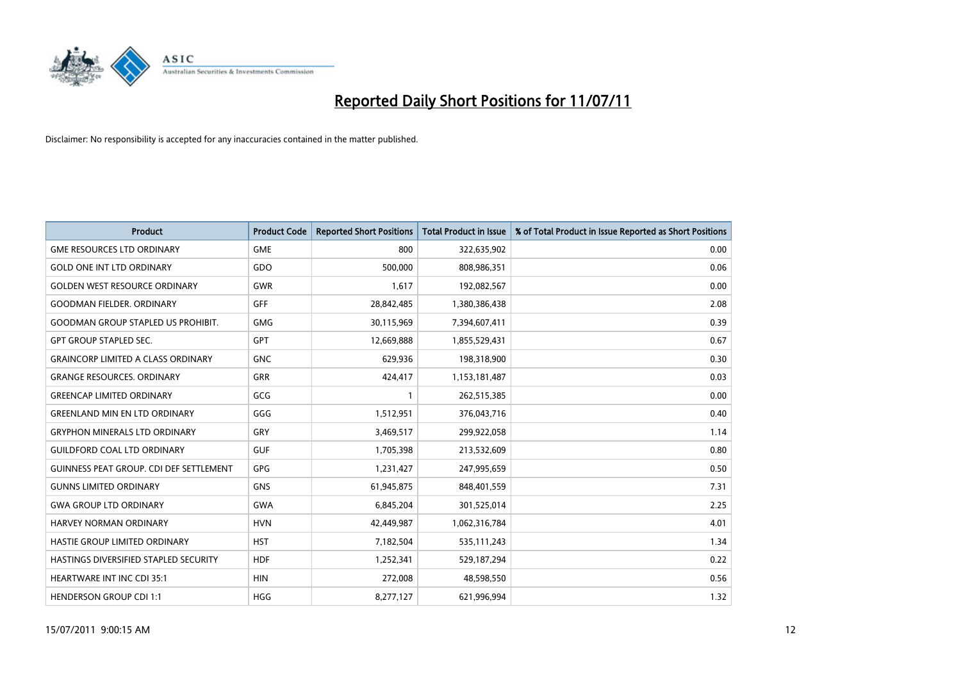

| <b>Product</b>                                 | <b>Product Code</b> | <b>Reported Short Positions</b> | <b>Total Product in Issue</b> | % of Total Product in Issue Reported as Short Positions |
|------------------------------------------------|---------------------|---------------------------------|-------------------------------|---------------------------------------------------------|
| <b>GME RESOURCES LTD ORDINARY</b>              | <b>GME</b>          | 800                             | 322,635,902                   | 0.00                                                    |
| <b>GOLD ONE INT LTD ORDINARY</b>               | GDO                 | 500,000                         | 808,986,351                   | 0.06                                                    |
| <b>GOLDEN WEST RESOURCE ORDINARY</b>           | <b>GWR</b>          | 1,617                           | 192,082,567                   | 0.00                                                    |
| <b>GOODMAN FIELDER. ORDINARY</b>               | <b>GFF</b>          | 28,842,485                      | 1,380,386,438                 | 2.08                                                    |
| <b>GOODMAN GROUP STAPLED US PROHIBIT.</b>      | <b>GMG</b>          | 30,115,969                      | 7,394,607,411                 | 0.39                                                    |
| <b>GPT GROUP STAPLED SEC.</b>                  | <b>GPT</b>          | 12,669,888                      | 1,855,529,431                 | 0.67                                                    |
| <b>GRAINCORP LIMITED A CLASS ORDINARY</b>      | <b>GNC</b>          | 629,936                         | 198,318,900                   | 0.30                                                    |
| <b>GRANGE RESOURCES, ORDINARY</b>              | <b>GRR</b>          | 424,417                         | 1,153,181,487                 | 0.03                                                    |
| <b>GREENCAP LIMITED ORDINARY</b>               | GCG                 |                                 | 262,515,385                   | 0.00                                                    |
| <b>GREENLAND MIN EN LTD ORDINARY</b>           | GGG                 | 1,512,951                       | 376,043,716                   | 0.40                                                    |
| <b>GRYPHON MINERALS LTD ORDINARY</b>           | GRY                 | 3,469,517                       | 299,922,058                   | 1.14                                                    |
| <b>GUILDFORD COAL LTD ORDINARY</b>             | <b>GUF</b>          | 1,705,398                       | 213,532,609                   | 0.80                                                    |
| <b>GUINNESS PEAT GROUP. CDI DEF SETTLEMENT</b> | <b>GPG</b>          | 1,231,427                       | 247,995,659                   | 0.50                                                    |
| <b>GUNNS LIMITED ORDINARY</b>                  | <b>GNS</b>          | 61,945,875                      | 848,401,559                   | 7.31                                                    |
| <b>GWA GROUP LTD ORDINARY</b>                  | <b>GWA</b>          | 6,845,204                       | 301,525,014                   | 2.25                                                    |
| HARVEY NORMAN ORDINARY                         | <b>HVN</b>          | 42,449,987                      | 1,062,316,784                 | 4.01                                                    |
| HASTIE GROUP LIMITED ORDINARY                  | <b>HST</b>          | 7,182,504                       | 535,111,243                   | 1.34                                                    |
| HASTINGS DIVERSIFIED STAPLED SECURITY          | <b>HDF</b>          | 1,252,341                       | 529,187,294                   | 0.22                                                    |
| <b>HEARTWARE INT INC CDI 35:1</b>              | <b>HIN</b>          | 272,008                         | 48,598,550                    | 0.56                                                    |
| <b>HENDERSON GROUP CDI 1:1</b>                 | <b>HGG</b>          | 8,277,127                       | 621,996,994                   | 1.32                                                    |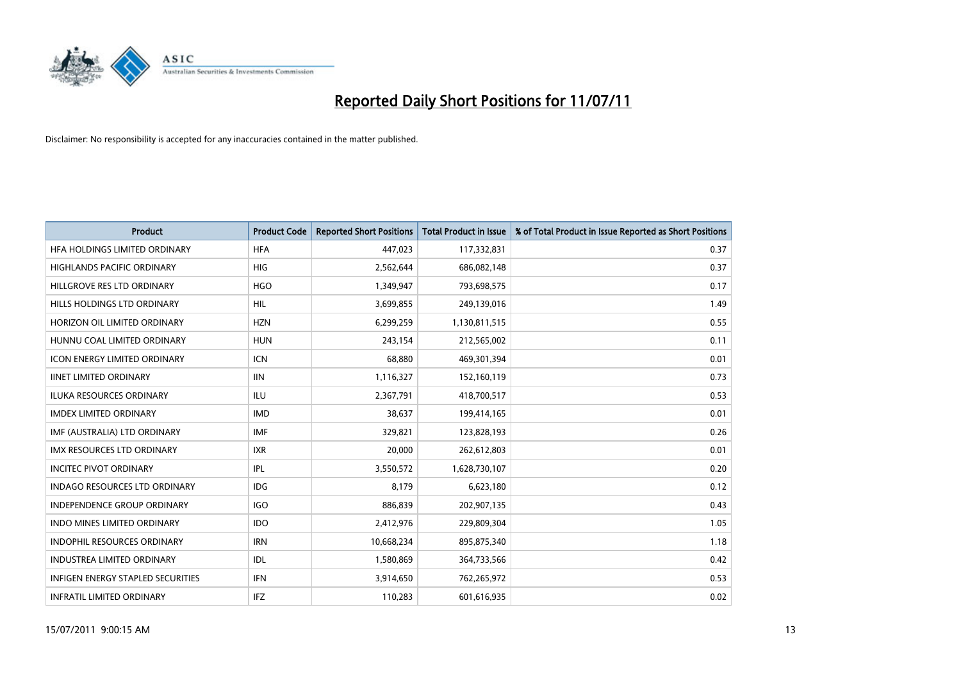

| <b>Product</b>                           | <b>Product Code</b> | <b>Reported Short Positions</b> | <b>Total Product in Issue</b> | % of Total Product in Issue Reported as Short Positions |
|------------------------------------------|---------------------|---------------------------------|-------------------------------|---------------------------------------------------------|
| HFA HOLDINGS LIMITED ORDINARY            | <b>HFA</b>          | 447,023                         | 117,332,831                   | 0.37                                                    |
| HIGHLANDS PACIFIC ORDINARY               | <b>HIG</b>          | 2,562,644                       | 686,082,148                   | 0.37                                                    |
| HILLGROVE RES LTD ORDINARY               | <b>HGO</b>          | 1,349,947                       | 793,698,575                   | 0.17                                                    |
| HILLS HOLDINGS LTD ORDINARY              | HIL                 | 3,699,855                       | 249,139,016                   | 1.49                                                    |
| HORIZON OIL LIMITED ORDINARY             | <b>HZN</b>          | 6,299,259                       | 1,130,811,515                 | 0.55                                                    |
| HUNNU COAL LIMITED ORDINARY              | <b>HUN</b>          | 243,154                         | 212,565,002                   | 0.11                                                    |
| <b>ICON ENERGY LIMITED ORDINARY</b>      | <b>ICN</b>          | 68,880                          | 469,301,394                   | 0.01                                                    |
| <b>IINET LIMITED ORDINARY</b>            | <b>IIN</b>          | 1,116,327                       | 152,160,119                   | 0.73                                                    |
| ILUKA RESOURCES ORDINARY                 | ILU                 | 2,367,791                       | 418,700,517                   | 0.53                                                    |
| <b>IMDEX LIMITED ORDINARY</b>            | <b>IMD</b>          | 38,637                          | 199,414,165                   | 0.01                                                    |
| IMF (AUSTRALIA) LTD ORDINARY             | <b>IMF</b>          | 329,821                         | 123,828,193                   | 0.26                                                    |
| IMX RESOURCES LTD ORDINARY               | <b>IXR</b>          | 20,000                          | 262,612,803                   | 0.01                                                    |
| <b>INCITEC PIVOT ORDINARY</b>            | IPL                 | 3,550,572                       | 1,628,730,107                 | 0.20                                                    |
| <b>INDAGO RESOURCES LTD ORDINARY</b>     | <b>IDG</b>          | 8,179                           | 6,623,180                     | 0.12                                                    |
| <b>INDEPENDENCE GROUP ORDINARY</b>       | <b>IGO</b>          | 886,839                         | 202,907,135                   | 0.43                                                    |
| <b>INDO MINES LIMITED ORDINARY</b>       | <b>IDO</b>          | 2,412,976                       | 229,809,304                   | 1.05                                                    |
| <b>INDOPHIL RESOURCES ORDINARY</b>       | <b>IRN</b>          | 10,668,234                      | 895,875,340                   | 1.18                                                    |
| <b>INDUSTREA LIMITED ORDINARY</b>        | IDL                 | 1,580,869                       | 364,733,566                   | 0.42                                                    |
| <b>INFIGEN ENERGY STAPLED SECURITIES</b> | <b>IFN</b>          | 3,914,650                       | 762,265,972                   | 0.53                                                    |
| <b>INFRATIL LIMITED ORDINARY</b>         | IFZ                 | 110,283                         | 601,616,935                   | 0.02                                                    |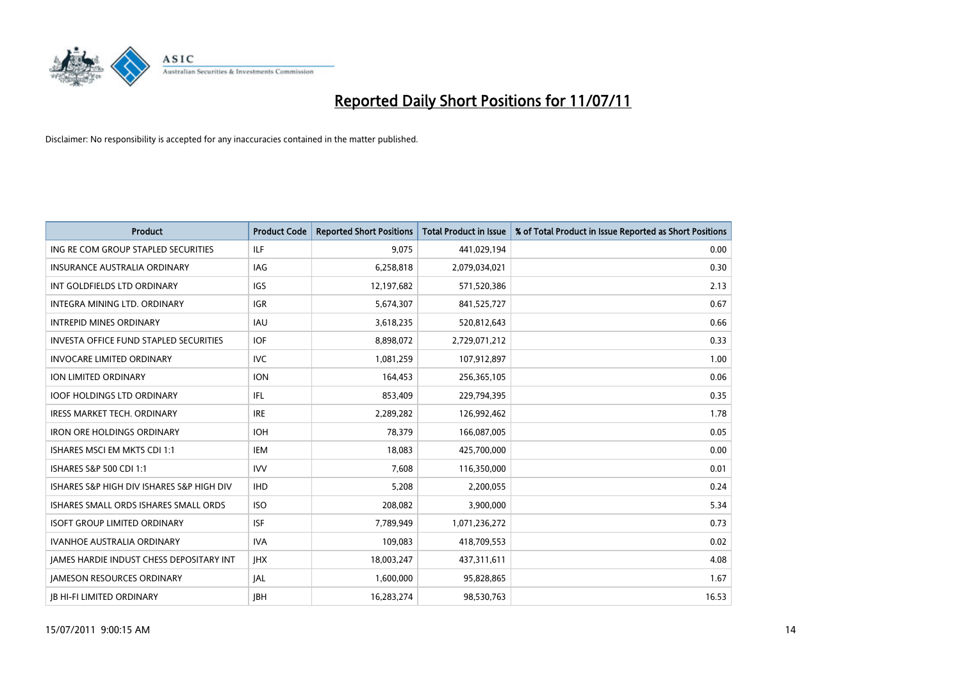

| <b>Product</b>                                | <b>Product Code</b> | <b>Reported Short Positions</b> | <b>Total Product in Issue</b> | % of Total Product in Issue Reported as Short Positions |
|-----------------------------------------------|---------------------|---------------------------------|-------------------------------|---------------------------------------------------------|
| ING RE COM GROUP STAPLED SECURITIES           | <b>ILF</b>          | 9,075                           | 441,029,194                   | 0.00                                                    |
| INSURANCE AUSTRALIA ORDINARY                  | <b>IAG</b>          | 6,258,818                       | 2,079,034,021                 | 0.30                                                    |
| INT GOLDFIELDS LTD ORDINARY                   | <b>IGS</b>          | 12,197,682                      | 571,520,386                   | 2.13                                                    |
| INTEGRA MINING LTD. ORDINARY                  | <b>IGR</b>          | 5,674,307                       | 841,525,727                   | 0.67                                                    |
| <b>INTREPID MINES ORDINARY</b>                | <b>IAU</b>          | 3,618,235                       | 520,812,643                   | 0.66                                                    |
| <b>INVESTA OFFICE FUND STAPLED SECURITIES</b> | <b>IOF</b>          | 8,898,072                       | 2,729,071,212                 | 0.33                                                    |
| <b>INVOCARE LIMITED ORDINARY</b>              | <b>IVC</b>          | 1,081,259                       | 107,912,897                   | 1.00                                                    |
| ION LIMITED ORDINARY                          | <b>ION</b>          | 164,453                         | 256,365,105                   | 0.06                                                    |
| <b>IOOF HOLDINGS LTD ORDINARY</b>             | IFL.                | 853,409                         | 229,794,395                   | 0.35                                                    |
| <b>IRESS MARKET TECH. ORDINARY</b>            | <b>IRE</b>          | 2,289,282                       | 126,992,462                   | 1.78                                                    |
| <b>IRON ORE HOLDINGS ORDINARY</b>             | <b>IOH</b>          | 78,379                          | 166,087,005                   | 0.05                                                    |
| ISHARES MSCI EM MKTS CDI 1:1                  | <b>IEM</b>          | 18,083                          | 425,700,000                   | 0.00                                                    |
| ISHARES S&P 500 CDI 1:1                       | <b>IVV</b>          | 7,608                           | 116,350,000                   | 0.01                                                    |
| ISHARES S&P HIGH DIV ISHARES S&P HIGH DIV     | <b>IHD</b>          | 5,208                           | 2,200,055                     | 0.24                                                    |
| ISHARES SMALL ORDS ISHARES SMALL ORDS         | <b>ISO</b>          | 208,082                         | 3,900,000                     | 5.34                                                    |
| <b>ISOFT GROUP LIMITED ORDINARY</b>           | <b>ISF</b>          | 7.789.949                       | 1,071,236,272                 | 0.73                                                    |
| <b>IVANHOE AUSTRALIA ORDINARY</b>             | <b>IVA</b>          | 109,083                         | 418,709,553                   | 0.02                                                    |
| JAMES HARDIE INDUST CHESS DEPOSITARY INT      | <b>IHX</b>          | 18,003,247                      | 437,311,611                   | 4.08                                                    |
| <b>JAMESON RESOURCES ORDINARY</b>             | <b>JAL</b>          | 1,600,000                       | 95,828,865                    | 1.67                                                    |
| <b>JB HI-FI LIMITED ORDINARY</b>              | <b>IBH</b>          | 16,283,274                      | 98,530,763                    | 16.53                                                   |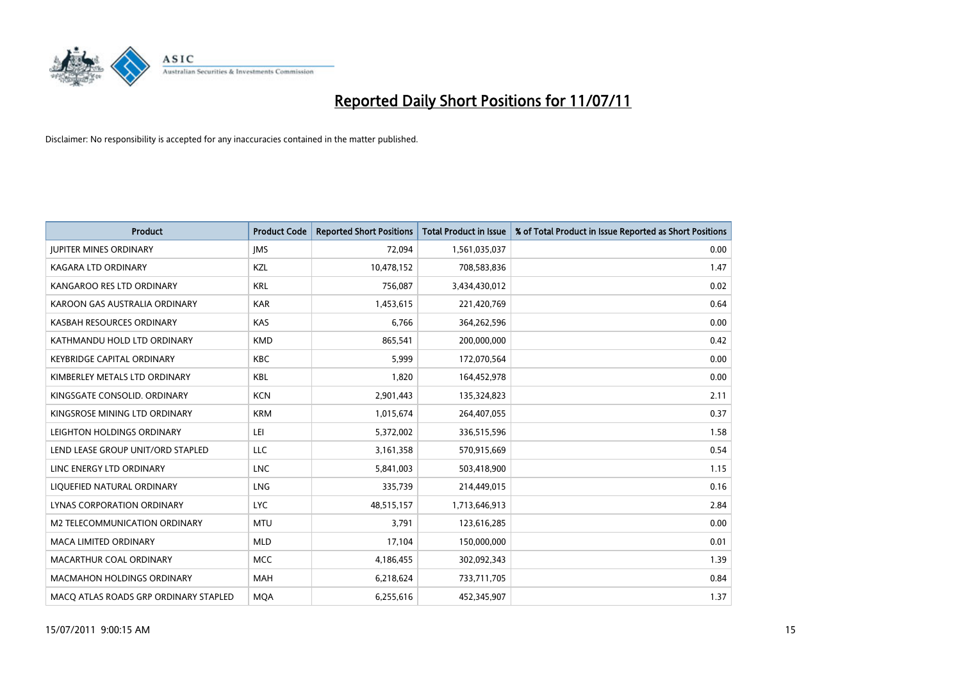

| <b>Product</b>                        | <b>Product Code</b> | <b>Reported Short Positions</b> | <b>Total Product in Issue</b> | % of Total Product in Issue Reported as Short Positions |
|---------------------------------------|---------------------|---------------------------------|-------------------------------|---------------------------------------------------------|
| <b>JUPITER MINES ORDINARY</b>         | <b>IMS</b>          | 72,094                          | 1,561,035,037                 | 0.00                                                    |
| KAGARA LTD ORDINARY                   | KZL                 | 10,478,152                      | 708,583,836                   | 1.47                                                    |
| KANGAROO RES LTD ORDINARY             | <b>KRL</b>          | 756,087                         | 3,434,430,012                 | 0.02                                                    |
| KAROON GAS AUSTRALIA ORDINARY         | <b>KAR</b>          | 1,453,615                       | 221,420,769                   | 0.64                                                    |
| KASBAH RESOURCES ORDINARY             | <b>KAS</b>          | 6,766                           | 364,262,596                   | 0.00                                                    |
| KATHMANDU HOLD LTD ORDINARY           | <b>KMD</b>          | 865,541                         | 200,000,000                   | 0.42                                                    |
| <b>KEYBRIDGE CAPITAL ORDINARY</b>     | <b>KBC</b>          | 5,999                           | 172,070,564                   | 0.00                                                    |
| KIMBERLEY METALS LTD ORDINARY         | <b>KBL</b>          | 1,820                           | 164,452,978                   | 0.00                                                    |
| KINGSGATE CONSOLID. ORDINARY          | <b>KCN</b>          | 2,901,443                       | 135,324,823                   | 2.11                                                    |
| KINGSROSE MINING LTD ORDINARY         | <b>KRM</b>          | 1,015,674                       | 264,407,055                   | 0.37                                                    |
| LEIGHTON HOLDINGS ORDINARY            | LEI                 | 5,372,002                       | 336,515,596                   | 1.58                                                    |
| LEND LEASE GROUP UNIT/ORD STAPLED     | LLC                 | 3,161,358                       | 570,915,669                   | 0.54                                                    |
| LINC ENERGY LTD ORDINARY              | <b>LNC</b>          | 5,841,003                       | 503,418,900                   | 1.15                                                    |
| LIQUEFIED NATURAL ORDINARY            | LNG                 | 335,739                         | 214,449,015                   | 0.16                                                    |
| LYNAS CORPORATION ORDINARY            | <b>LYC</b>          | 48,515,157                      | 1,713,646,913                 | 2.84                                                    |
| M2 TELECOMMUNICATION ORDINARY         | <b>MTU</b>          | 3.791                           | 123,616,285                   | 0.00                                                    |
| <b>MACA LIMITED ORDINARY</b>          | <b>MLD</b>          | 17,104                          | 150,000,000                   | 0.01                                                    |
| MACARTHUR COAL ORDINARY               | <b>MCC</b>          | 4,186,455                       | 302,092,343                   | 1.39                                                    |
| <b>MACMAHON HOLDINGS ORDINARY</b>     | <b>MAH</b>          | 6,218,624                       | 733,711,705                   | 0.84                                                    |
| MACO ATLAS ROADS GRP ORDINARY STAPLED | <b>MOA</b>          | 6,255,616                       | 452,345,907                   | 1.37                                                    |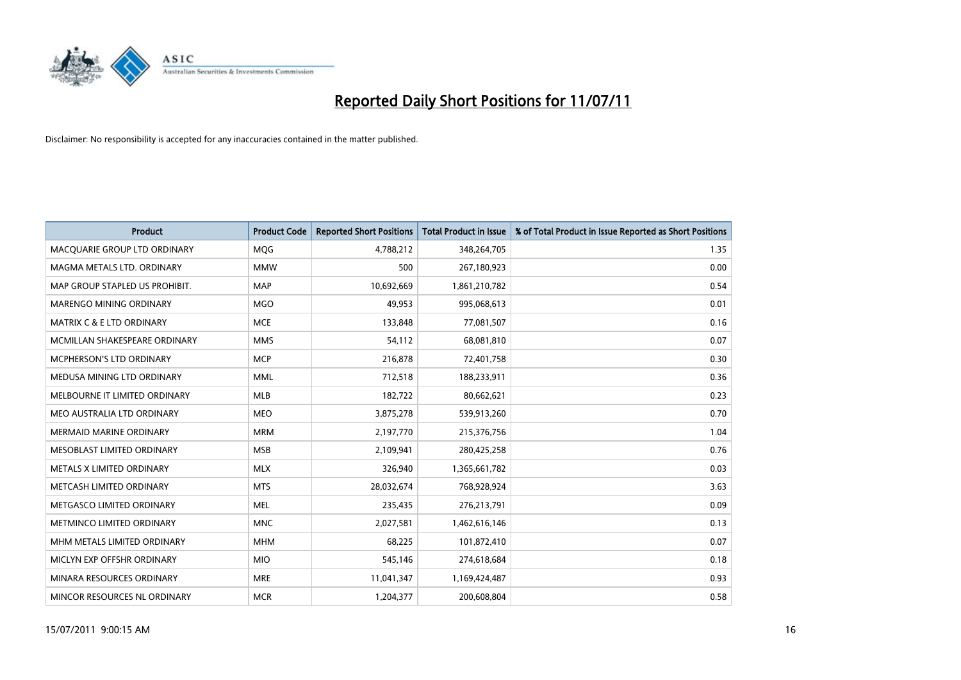

| <b>Product</b>                       | <b>Product Code</b> | <b>Reported Short Positions</b> | Total Product in Issue | % of Total Product in Issue Reported as Short Positions |
|--------------------------------------|---------------------|---------------------------------|------------------------|---------------------------------------------------------|
| MACQUARIE GROUP LTD ORDINARY         | MQG                 | 4,788,212                       | 348,264,705            | 1.35                                                    |
| MAGMA METALS LTD. ORDINARY           | <b>MMW</b>          | 500                             | 267,180,923            | 0.00                                                    |
| MAP GROUP STAPLED US PROHIBIT.       | <b>MAP</b>          | 10,692,669                      | 1,861,210,782          | 0.54                                                    |
| MARENGO MINING ORDINARY              | <b>MGO</b>          | 49,953                          | 995,068,613            | 0.01                                                    |
| <b>MATRIX C &amp; E LTD ORDINARY</b> | <b>MCE</b>          | 133,848                         | 77,081,507             | 0.16                                                    |
| MCMILLAN SHAKESPEARE ORDINARY        | <b>MMS</b>          | 54,112                          | 68,081,810             | 0.07                                                    |
| <b>MCPHERSON'S LTD ORDINARY</b>      | <b>MCP</b>          | 216,878                         | 72,401,758             | 0.30                                                    |
| MEDUSA MINING LTD ORDINARY           | <b>MML</b>          | 712,518                         | 188,233,911            | 0.36                                                    |
| MELBOURNE IT LIMITED ORDINARY        | <b>MLB</b>          | 182,722                         | 80,662,621             | 0.23                                                    |
| MEO AUSTRALIA LTD ORDINARY           | <b>MEO</b>          | 3,875,278                       | 539,913,260            | 0.70                                                    |
| <b>MERMAID MARINE ORDINARY</b>       | <b>MRM</b>          | 2,197,770                       | 215,376,756            | 1.04                                                    |
| MESOBLAST LIMITED ORDINARY           | <b>MSB</b>          | 2,109,941                       | 280,425,258            | 0.76                                                    |
| METALS X LIMITED ORDINARY            | <b>MLX</b>          | 326,940                         | 1,365,661,782          | 0.03                                                    |
| METCASH LIMITED ORDINARY             | <b>MTS</b>          | 28,032,674                      | 768,928,924            | 3.63                                                    |
| METGASCO LIMITED ORDINARY            | <b>MEL</b>          | 235,435                         | 276,213,791            | 0.09                                                    |
| METMINCO LIMITED ORDINARY            | <b>MNC</b>          | 2,027,581                       | 1,462,616,146          | 0.13                                                    |
| MHM METALS LIMITED ORDINARY          | <b>MHM</b>          | 68,225                          | 101,872,410            | 0.07                                                    |
| MICLYN EXP OFFSHR ORDINARY           | <b>MIO</b>          | 545,146                         | 274,618,684            | 0.18                                                    |
| MINARA RESOURCES ORDINARY            | <b>MRE</b>          | 11,041,347                      | 1,169,424,487          | 0.93                                                    |
| MINCOR RESOURCES NL ORDINARY         | <b>MCR</b>          | 1,204,377                       | 200,608,804            | 0.58                                                    |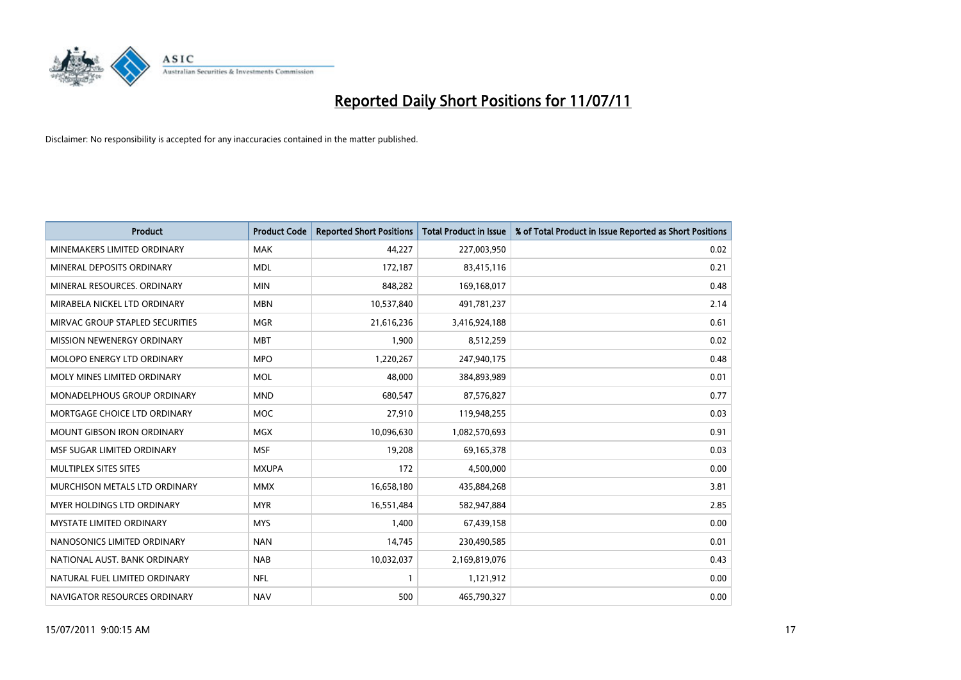

| <b>Product</b>                    | <b>Product Code</b> | <b>Reported Short Positions</b> | <b>Total Product in Issue</b> | % of Total Product in Issue Reported as Short Positions |
|-----------------------------------|---------------------|---------------------------------|-------------------------------|---------------------------------------------------------|
| MINEMAKERS LIMITED ORDINARY       | <b>MAK</b>          | 44,227                          | 227,003,950                   | 0.02                                                    |
| MINERAL DEPOSITS ORDINARY         | <b>MDL</b>          | 172,187                         | 83,415,116                    | 0.21                                                    |
| MINERAL RESOURCES. ORDINARY       | <b>MIN</b>          | 848,282                         | 169,168,017                   | 0.48                                                    |
| MIRABELA NICKEL LTD ORDINARY      | <b>MBN</b>          | 10,537,840                      | 491,781,237                   | 2.14                                                    |
| MIRVAC GROUP STAPLED SECURITIES   | <b>MGR</b>          | 21,616,236                      | 3,416,924,188                 | 0.61                                                    |
| MISSION NEWENERGY ORDINARY        | <b>MBT</b>          | 1,900                           | 8,512,259                     | 0.02                                                    |
| MOLOPO ENERGY LTD ORDINARY        | <b>MPO</b>          | 1,220,267                       | 247,940,175                   | 0.48                                                    |
| MOLY MINES LIMITED ORDINARY       | <b>MOL</b>          | 48,000                          | 384,893,989                   | 0.01                                                    |
| MONADELPHOUS GROUP ORDINARY       | <b>MND</b>          | 680,547                         | 87,576,827                    | 0.77                                                    |
| MORTGAGE CHOICE LTD ORDINARY      | <b>MOC</b>          | 27,910                          | 119,948,255                   | 0.03                                                    |
| <b>MOUNT GIBSON IRON ORDINARY</b> | <b>MGX</b>          | 10,096,630                      | 1,082,570,693                 | 0.91                                                    |
| MSF SUGAR LIMITED ORDINARY        | <b>MSF</b>          | 19,208                          | 69,165,378                    | 0.03                                                    |
| MULTIPLEX SITES SITES             | <b>MXUPA</b>        | 172                             | 4,500,000                     | 0.00                                                    |
| MURCHISON METALS LTD ORDINARY     | <b>MMX</b>          | 16,658,180                      | 435,884,268                   | 3.81                                                    |
| <b>MYER HOLDINGS LTD ORDINARY</b> | <b>MYR</b>          | 16,551,484                      | 582,947,884                   | 2.85                                                    |
| MYSTATE LIMITED ORDINARY          | <b>MYS</b>          | 1,400                           | 67,439,158                    | 0.00                                                    |
| NANOSONICS LIMITED ORDINARY       | <b>NAN</b>          | 14,745                          | 230,490,585                   | 0.01                                                    |
| NATIONAL AUST, BANK ORDINARY      | <b>NAB</b>          | 10,032,037                      | 2,169,819,076                 | 0.43                                                    |
| NATURAL FUEL LIMITED ORDINARY     | <b>NFL</b>          |                                 | 1,121,912                     | 0.00                                                    |
| NAVIGATOR RESOURCES ORDINARY      | <b>NAV</b>          | 500                             | 465,790,327                   | 0.00                                                    |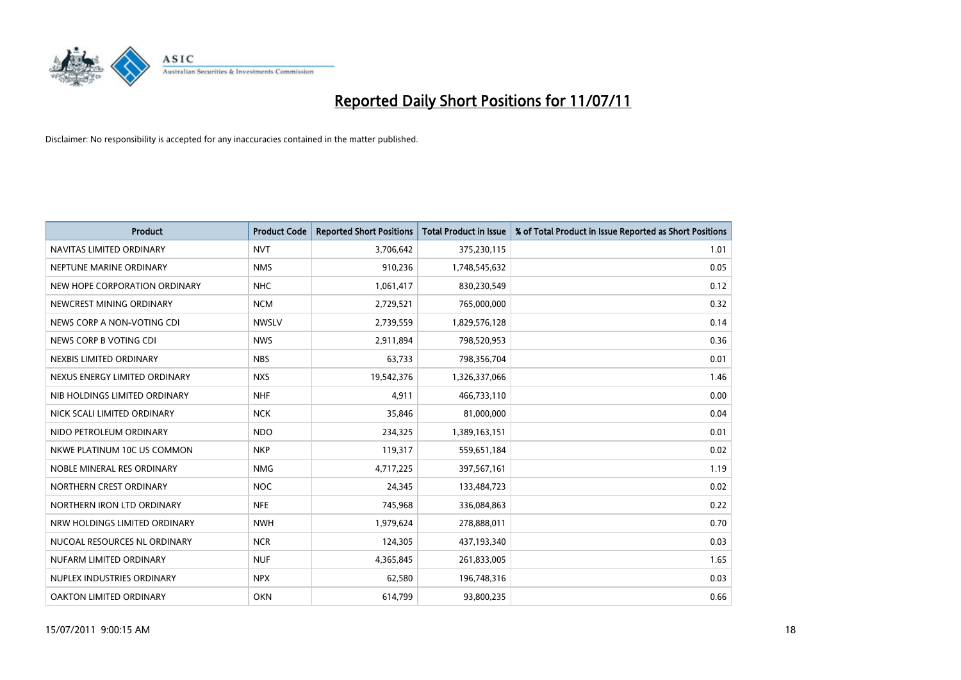

| <b>Product</b>                | <b>Product Code</b> | <b>Reported Short Positions</b> | <b>Total Product in Issue</b> | % of Total Product in Issue Reported as Short Positions |
|-------------------------------|---------------------|---------------------------------|-------------------------------|---------------------------------------------------------|
| NAVITAS LIMITED ORDINARY      | <b>NVT</b>          | 3,706,642                       | 375,230,115                   | 1.01                                                    |
| NEPTUNE MARINE ORDINARY       | <b>NMS</b>          | 910,236                         | 1,748,545,632                 | 0.05                                                    |
| NEW HOPE CORPORATION ORDINARY | <b>NHC</b>          | 1,061,417                       | 830,230,549                   | 0.12                                                    |
| NEWCREST MINING ORDINARY      | <b>NCM</b>          | 2,729,521                       | 765,000,000                   | 0.32                                                    |
| NEWS CORP A NON-VOTING CDI    | <b>NWSLV</b>        | 2,739,559                       | 1,829,576,128                 | 0.14                                                    |
| NEWS CORP B VOTING CDI        | <b>NWS</b>          | 2,911,894                       | 798,520,953                   | 0.36                                                    |
| NEXBIS LIMITED ORDINARY       | <b>NBS</b>          | 63,733                          | 798,356,704                   | 0.01                                                    |
| NEXUS ENERGY LIMITED ORDINARY | <b>NXS</b>          | 19,542,376                      | 1,326,337,066                 | 1.46                                                    |
| NIB HOLDINGS LIMITED ORDINARY | <b>NHF</b>          | 4,911                           | 466,733,110                   | 0.00                                                    |
| NICK SCALI LIMITED ORDINARY   | <b>NCK</b>          | 35,846                          | 81,000,000                    | 0.04                                                    |
| NIDO PETROLEUM ORDINARY       | <b>NDO</b>          | 234,325                         | 1,389,163,151                 | 0.01                                                    |
| NKWE PLATINUM 10C US COMMON   | <b>NKP</b>          | 119,317                         | 559,651,184                   | 0.02                                                    |
| NOBLE MINERAL RES ORDINARY    | <b>NMG</b>          | 4,717,225                       | 397,567,161                   | 1.19                                                    |
| NORTHERN CREST ORDINARY       | <b>NOC</b>          | 24,345                          | 133,484,723                   | 0.02                                                    |
| NORTHERN IRON LTD ORDINARY    | <b>NFE</b>          | 745,968                         | 336,084,863                   | 0.22                                                    |
| NRW HOLDINGS LIMITED ORDINARY | <b>NWH</b>          | 1,979,624                       | 278,888,011                   | 0.70                                                    |
| NUCOAL RESOURCES NL ORDINARY  | <b>NCR</b>          | 124,305                         | 437,193,340                   | 0.03                                                    |
| NUFARM LIMITED ORDINARY       | <b>NUF</b>          | 4,365,845                       | 261,833,005                   | 1.65                                                    |
| NUPLEX INDUSTRIES ORDINARY    | <b>NPX</b>          | 62,580                          | 196,748,316                   | 0.03                                                    |
| OAKTON LIMITED ORDINARY       | <b>OKN</b>          | 614,799                         | 93,800,235                    | 0.66                                                    |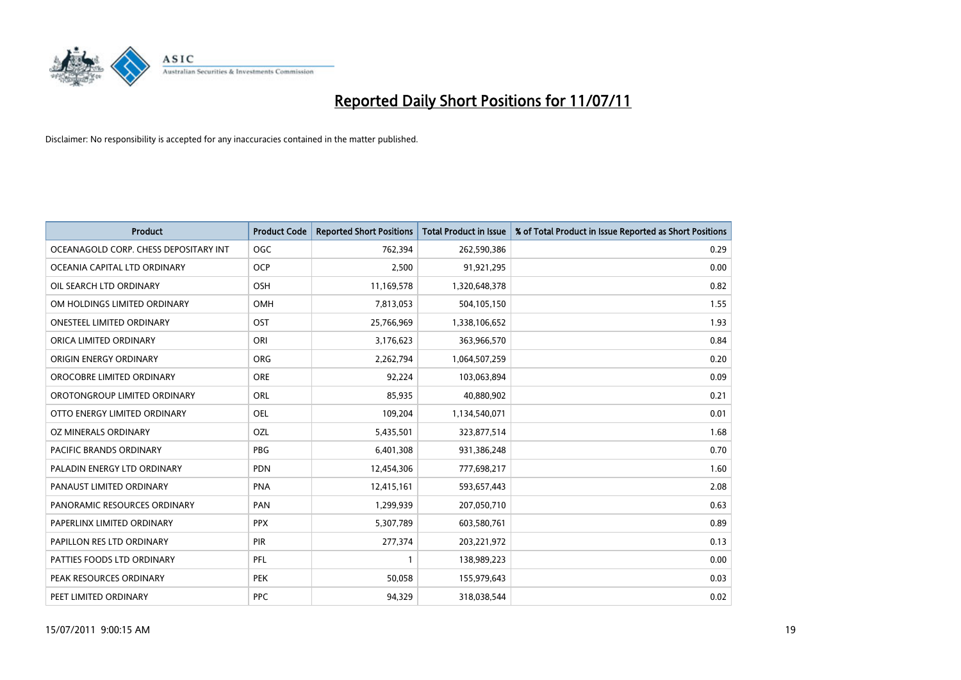

| <b>Product</b>                        | <b>Product Code</b> | <b>Reported Short Positions</b> | Total Product in Issue | % of Total Product in Issue Reported as Short Positions |
|---------------------------------------|---------------------|---------------------------------|------------------------|---------------------------------------------------------|
| OCEANAGOLD CORP. CHESS DEPOSITARY INT | <b>OGC</b>          | 762,394                         | 262,590,386            | 0.29                                                    |
| OCEANIA CAPITAL LTD ORDINARY          | <b>OCP</b>          | 2,500                           | 91,921,295             | 0.00                                                    |
| OIL SEARCH LTD ORDINARY               | OSH                 | 11,169,578                      | 1,320,648,378          | 0.82                                                    |
| OM HOLDINGS LIMITED ORDINARY          | <b>OMH</b>          | 7,813,053                       | 504,105,150            | 1.55                                                    |
| <b>ONESTEEL LIMITED ORDINARY</b>      | OST                 | 25,766,969                      | 1,338,106,652          | 1.93                                                    |
| ORICA LIMITED ORDINARY                | ORI                 | 3,176,623                       | 363,966,570            | 0.84                                                    |
| ORIGIN ENERGY ORDINARY                | <b>ORG</b>          | 2,262,794                       | 1,064,507,259          | 0.20                                                    |
| OROCOBRE LIMITED ORDINARY             | <b>ORE</b>          | 92,224                          | 103,063,894            | 0.09                                                    |
| OROTONGROUP LIMITED ORDINARY          | ORL                 | 85,935                          | 40,880,902             | 0.21                                                    |
| OTTO ENERGY LIMITED ORDINARY          | <b>OEL</b>          | 109,204                         | 1,134,540,071          | 0.01                                                    |
| OZ MINERALS ORDINARY                  | OZL                 | 5,435,501                       | 323,877,514            | 1.68                                                    |
| <b>PACIFIC BRANDS ORDINARY</b>        | <b>PBG</b>          | 6,401,308                       | 931,386,248            | 0.70                                                    |
| PALADIN ENERGY LTD ORDINARY           | <b>PDN</b>          | 12,454,306                      | 777,698,217            | 1.60                                                    |
| PANAUST LIMITED ORDINARY              | <b>PNA</b>          | 12,415,161                      | 593,657,443            | 2.08                                                    |
| PANORAMIC RESOURCES ORDINARY          | PAN                 | 1,299,939                       | 207,050,710            | 0.63                                                    |
| PAPERLINX LIMITED ORDINARY            | <b>PPX</b>          | 5,307,789                       | 603,580,761            | 0.89                                                    |
| PAPILLON RES LTD ORDINARY             | <b>PIR</b>          | 277,374                         | 203,221,972            | 0.13                                                    |
| PATTIES FOODS LTD ORDINARY            | PFL                 |                                 | 138,989,223            | 0.00                                                    |
| PEAK RESOURCES ORDINARY               | <b>PEK</b>          | 50,058                          | 155,979,643            | 0.03                                                    |
| PEET LIMITED ORDINARY                 | <b>PPC</b>          | 94,329                          | 318,038,544            | 0.02                                                    |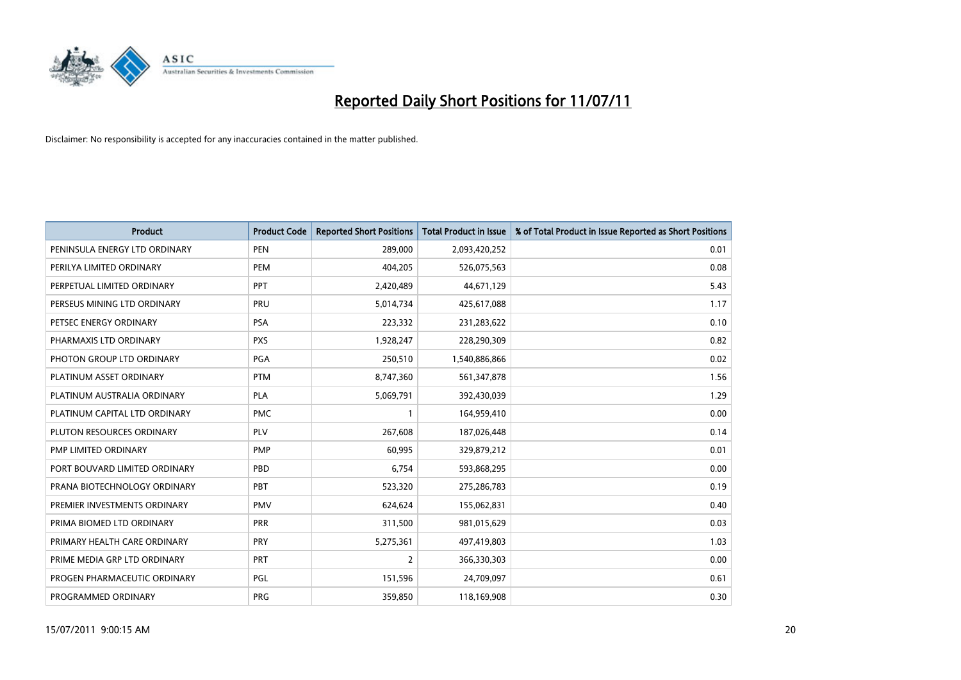

| <b>Product</b>                | <b>Product Code</b> | <b>Reported Short Positions</b> | <b>Total Product in Issue</b> | % of Total Product in Issue Reported as Short Positions |
|-------------------------------|---------------------|---------------------------------|-------------------------------|---------------------------------------------------------|
| PENINSULA ENERGY LTD ORDINARY | <b>PEN</b>          | 289,000                         | 2,093,420,252                 | 0.01                                                    |
| PERILYA LIMITED ORDINARY      | PEM                 | 404,205                         | 526,075,563                   | 0.08                                                    |
| PERPETUAL LIMITED ORDINARY    | PPT                 | 2,420,489                       | 44,671,129                    | 5.43                                                    |
| PERSEUS MINING LTD ORDINARY   | PRU                 | 5,014,734                       | 425,617,088                   | 1.17                                                    |
| PETSEC ENERGY ORDINARY        | <b>PSA</b>          | 223,332                         | 231,283,622                   | 0.10                                                    |
| PHARMAXIS LTD ORDINARY        | <b>PXS</b>          | 1,928,247                       | 228,290,309                   | 0.82                                                    |
| PHOTON GROUP LTD ORDINARY     | PGA                 | 250,510                         | 1,540,886,866                 | 0.02                                                    |
| PLATINUM ASSET ORDINARY       | <b>PTM</b>          | 8,747,360                       | 561,347,878                   | 1.56                                                    |
| PLATINUM AUSTRALIA ORDINARY   | <b>PLA</b>          | 5,069,791                       | 392,430,039                   | 1.29                                                    |
| PLATINUM CAPITAL LTD ORDINARY | <b>PMC</b>          |                                 | 164,959,410                   | 0.00                                                    |
| PLUTON RESOURCES ORDINARY     | <b>PLV</b>          | 267,608                         | 187,026,448                   | 0.14                                                    |
| PMP LIMITED ORDINARY          | <b>PMP</b>          | 60,995                          | 329,879,212                   | 0.01                                                    |
| PORT BOUVARD LIMITED ORDINARY | PBD                 | 6,754                           | 593,868,295                   | 0.00                                                    |
| PRANA BIOTECHNOLOGY ORDINARY  | PBT                 | 523,320                         | 275,286,783                   | 0.19                                                    |
| PREMIER INVESTMENTS ORDINARY  | <b>PMV</b>          | 624,624                         | 155,062,831                   | 0.40                                                    |
| PRIMA BIOMED LTD ORDINARY     | <b>PRR</b>          | 311,500                         | 981,015,629                   | 0.03                                                    |
| PRIMARY HEALTH CARE ORDINARY  | <b>PRY</b>          | 5,275,361                       | 497,419,803                   | 1.03                                                    |
| PRIME MEDIA GRP LTD ORDINARY  | PRT                 | $\overline{2}$                  | 366,330,303                   | 0.00                                                    |
| PROGEN PHARMACEUTIC ORDINARY  | <b>PGL</b>          | 151,596                         | 24,709,097                    | 0.61                                                    |
| PROGRAMMED ORDINARY           | <b>PRG</b>          | 359,850                         | 118,169,908                   | 0.30                                                    |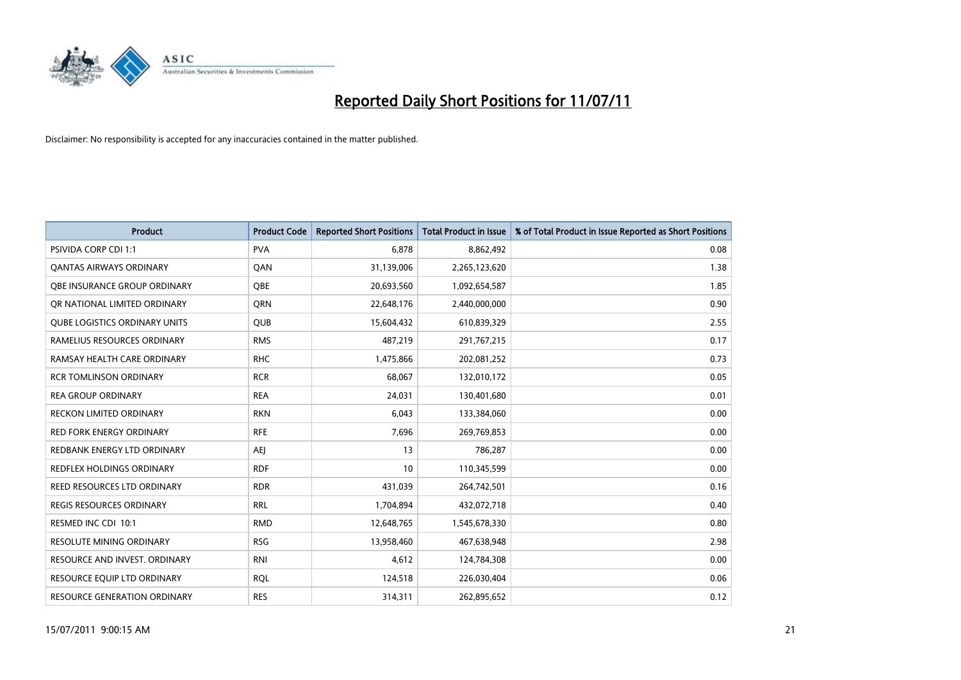

| <b>Product</b>                       | <b>Product Code</b> | <b>Reported Short Positions</b> | <b>Total Product in Issue</b> | % of Total Product in Issue Reported as Short Positions |
|--------------------------------------|---------------------|---------------------------------|-------------------------------|---------------------------------------------------------|
| <b>PSIVIDA CORP CDI 1:1</b>          | <b>PVA</b>          | 6.878                           | 8,862,492                     | 0.08                                                    |
| <b>QANTAS AIRWAYS ORDINARY</b>       | QAN                 | 31,139,006                      | 2,265,123,620                 | 1.38                                                    |
| OBE INSURANCE GROUP ORDINARY         | OBE                 | 20,693,560                      | 1,092,654,587                 | 1.85                                                    |
| OR NATIONAL LIMITED ORDINARY         | <b>ORN</b>          | 22,648,176                      | 2,440,000,000                 | 0.90                                                    |
| <b>QUBE LOGISTICS ORDINARY UNITS</b> | <b>QUB</b>          | 15,604,432                      | 610,839,329                   | 2.55                                                    |
| RAMELIUS RESOURCES ORDINARY          | <b>RMS</b>          | 487,219                         | 291,767,215                   | 0.17                                                    |
| RAMSAY HEALTH CARE ORDINARY          | <b>RHC</b>          | 1,475,866                       | 202,081,252                   | 0.73                                                    |
| <b>RCR TOMLINSON ORDINARY</b>        | <b>RCR</b>          | 68.067                          | 132,010,172                   | 0.05                                                    |
| <b>REA GROUP ORDINARY</b>            | <b>REA</b>          | 24,031                          | 130,401,680                   | 0.01                                                    |
| <b>RECKON LIMITED ORDINARY</b>       | <b>RKN</b>          | 6,043                           | 133,384,060                   | 0.00                                                    |
| <b>RED FORK ENERGY ORDINARY</b>      | <b>RFE</b>          | 7,696                           | 269,769,853                   | 0.00                                                    |
| REDBANK ENERGY LTD ORDINARY          | <b>AEI</b>          | 13                              | 786,287                       | 0.00                                                    |
| REDFLEX HOLDINGS ORDINARY            | <b>RDF</b>          | 10                              | 110,345,599                   | 0.00                                                    |
| REED RESOURCES LTD ORDINARY          | <b>RDR</b>          | 431,039                         | 264,742,501                   | 0.16                                                    |
| <b>REGIS RESOURCES ORDINARY</b>      | <b>RRL</b>          | 1,704,894                       | 432,072,718                   | 0.40                                                    |
| RESMED INC CDI 10:1                  | <b>RMD</b>          | 12,648,765                      | 1,545,678,330                 | 0.80                                                    |
| RESOLUTE MINING ORDINARY             | <b>RSG</b>          | 13,958,460                      | 467,638,948                   | 2.98                                                    |
| RESOURCE AND INVEST. ORDINARY        | <b>RNI</b>          | 4,612                           | 124,784,308                   | 0.00                                                    |
| RESOURCE EQUIP LTD ORDINARY          | <b>ROL</b>          | 124,518                         | 226,030,404                   | 0.06                                                    |
| RESOURCE GENERATION ORDINARY         | <b>RES</b>          | 314,311                         | 262,895,652                   | 0.12                                                    |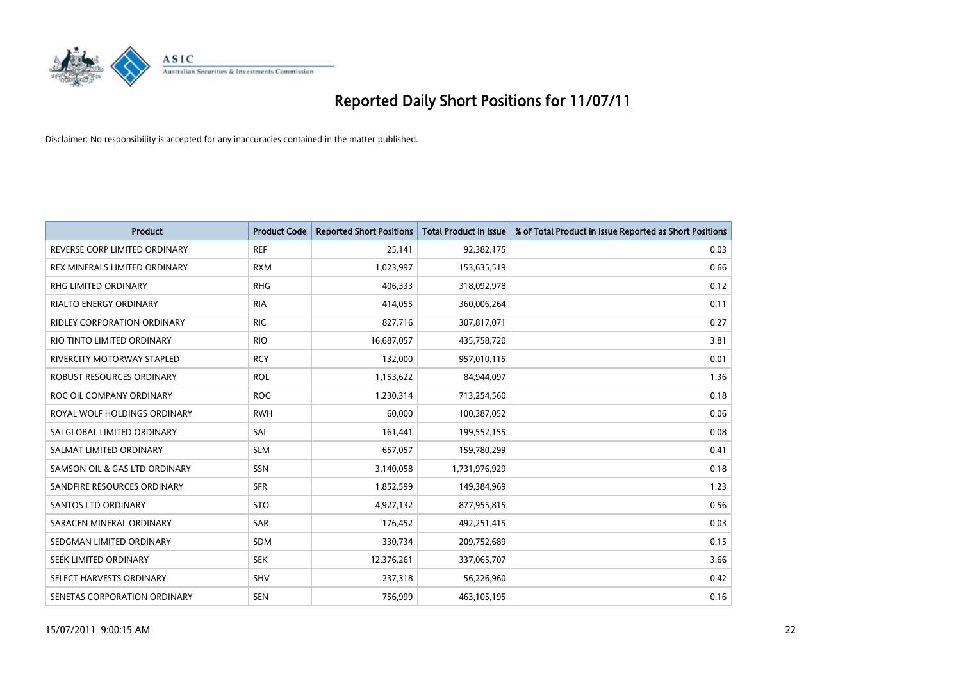

| <b>Product</b>                     | <b>Product Code</b> | <b>Reported Short Positions</b> | <b>Total Product in Issue</b> | % of Total Product in Issue Reported as Short Positions |
|------------------------------------|---------------------|---------------------------------|-------------------------------|---------------------------------------------------------|
| REVERSE CORP LIMITED ORDINARY      | <b>REF</b>          | 25,141                          | 92,382,175                    | 0.03                                                    |
| REX MINERALS LIMITED ORDINARY      | <b>RXM</b>          | 1,023,997                       | 153,635,519                   | 0.66                                                    |
| RHG LIMITED ORDINARY               | <b>RHG</b>          | 406,333                         | 318,092,978                   | 0.12                                                    |
| <b>RIALTO ENERGY ORDINARY</b>      | <b>RIA</b>          | 414,055                         | 360,006,264                   | 0.11                                                    |
| <b>RIDLEY CORPORATION ORDINARY</b> | <b>RIC</b>          | 827,716                         | 307,817,071                   | 0.27                                                    |
| RIO TINTO LIMITED ORDINARY         | <b>RIO</b>          | 16,687,057                      | 435,758,720                   | 3.81                                                    |
| RIVERCITY MOTORWAY STAPLED         | <b>RCY</b>          | 132,000                         | 957,010,115                   | 0.01                                                    |
| ROBUST RESOURCES ORDINARY          | <b>ROL</b>          | 1,153,622                       | 84,944,097                    | 1.36                                                    |
| ROC OIL COMPANY ORDINARY           | <b>ROC</b>          | 1,230,314                       | 713,254,560                   | 0.18                                                    |
| ROYAL WOLF HOLDINGS ORDINARY       | <b>RWH</b>          | 60,000                          | 100,387,052                   | 0.06                                                    |
| SAI GLOBAL LIMITED ORDINARY        | SAI                 | 161,441                         | 199,552,155                   | 0.08                                                    |
| SALMAT LIMITED ORDINARY            | <b>SLM</b>          | 657,057                         | 159,780,299                   | 0.41                                                    |
| SAMSON OIL & GAS LTD ORDINARY      | <b>SSN</b>          | 3,140,058                       | 1,731,976,929                 | 0.18                                                    |
| SANDFIRE RESOURCES ORDINARY        | <b>SFR</b>          | 1,852,599                       | 149,384,969                   | 1.23                                                    |
| SANTOS LTD ORDINARY                | <b>STO</b>          | 4,927,132                       | 877,955,815                   | 0.56                                                    |
| SARACEN MINERAL ORDINARY           | <b>SAR</b>          | 176,452                         | 492,251,415                   | 0.03                                                    |
| SEDGMAN LIMITED ORDINARY           | <b>SDM</b>          | 330,734                         | 209,752,689                   | 0.15                                                    |
| SEEK LIMITED ORDINARY              | <b>SEK</b>          | 12,376,261                      | 337,065,707                   | 3.66                                                    |
| SELECT HARVESTS ORDINARY           | <b>SHV</b>          | 237,318                         | 56,226,960                    | 0.42                                                    |
| SENETAS CORPORATION ORDINARY       | <b>SEN</b>          | 756,999                         | 463,105,195                   | 0.16                                                    |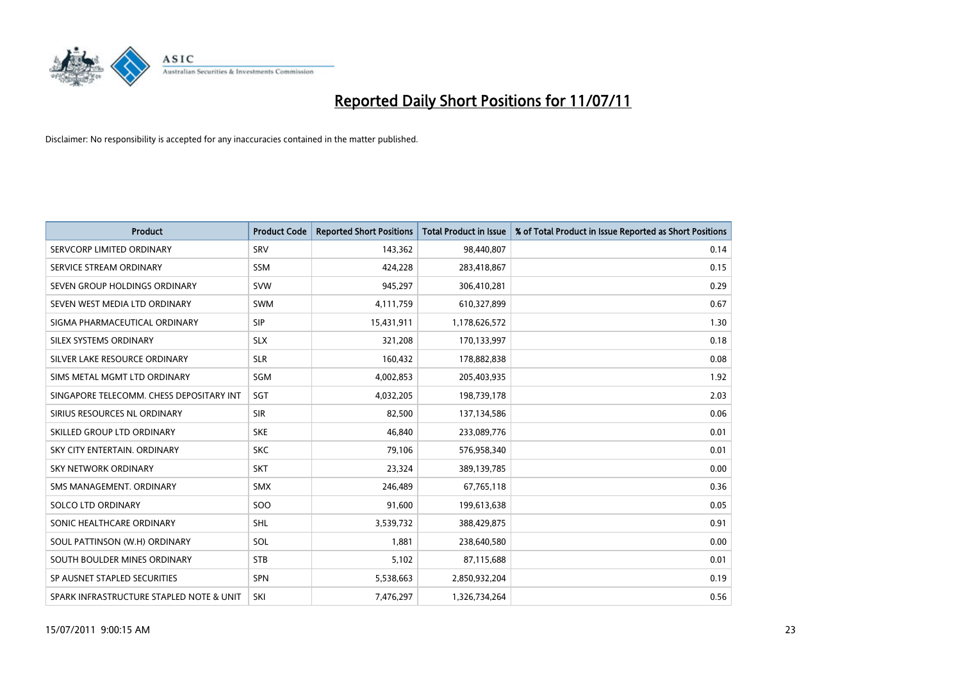

| <b>Product</b>                           | <b>Product Code</b> | <b>Reported Short Positions</b> | Total Product in Issue | % of Total Product in Issue Reported as Short Positions |
|------------------------------------------|---------------------|---------------------------------|------------------------|---------------------------------------------------------|
| SERVCORP LIMITED ORDINARY                | SRV                 | 143,362                         | 98,440,807             | 0.14                                                    |
| SERVICE STREAM ORDINARY                  | <b>SSM</b>          | 424,228                         | 283,418,867            | 0.15                                                    |
| SEVEN GROUP HOLDINGS ORDINARY            | <b>SVW</b>          | 945,297                         | 306,410,281            | 0.29                                                    |
| SEVEN WEST MEDIA LTD ORDINARY            | <b>SWM</b>          | 4,111,759                       | 610,327,899            | 0.67                                                    |
| SIGMA PHARMACEUTICAL ORDINARY            | <b>SIP</b>          | 15,431,911                      | 1,178,626,572          | 1.30                                                    |
| SILEX SYSTEMS ORDINARY                   | <b>SLX</b>          | 321,208                         | 170,133,997            | 0.18                                                    |
| SILVER LAKE RESOURCE ORDINARY            | <b>SLR</b>          | 160,432                         | 178,882,838            | 0.08                                                    |
| SIMS METAL MGMT LTD ORDINARY             | SGM                 | 4,002,853                       | 205,403,935            | 1.92                                                    |
| SINGAPORE TELECOMM. CHESS DEPOSITARY INT | SGT                 | 4,032,205                       | 198,739,178            | 2.03                                                    |
| SIRIUS RESOURCES NL ORDINARY             | <b>SIR</b>          | 82,500                          | 137,134,586            | 0.06                                                    |
| SKILLED GROUP LTD ORDINARY               | <b>SKE</b>          | 46,840                          | 233,089,776            | 0.01                                                    |
| SKY CITY ENTERTAIN, ORDINARY             | <b>SKC</b>          | 79,106                          | 576,958,340            | 0.01                                                    |
| SKY NETWORK ORDINARY                     | <b>SKT</b>          | 23,324                          | 389,139,785            | 0.00                                                    |
| SMS MANAGEMENT, ORDINARY                 | SMX                 | 246,489                         | 67,765,118             | 0.36                                                    |
| <b>SOLCO LTD ORDINARY</b>                | SOO                 | 91,600                          | 199,613,638            | 0.05                                                    |
| SONIC HEALTHCARE ORDINARY                | <b>SHL</b>          | 3,539,732                       | 388,429,875            | 0.91                                                    |
| SOUL PATTINSON (W.H) ORDINARY            | SOL                 | 1,881                           | 238,640,580            | 0.00                                                    |
| SOUTH BOULDER MINES ORDINARY             | <b>STB</b>          | 5,102                           | 87,115,688             | 0.01                                                    |
| SP AUSNET STAPLED SECURITIES             | <b>SPN</b>          | 5,538,663                       | 2,850,932,204          | 0.19                                                    |
| SPARK INFRASTRUCTURE STAPLED NOTE & UNIT | SKI                 | 7,476,297                       | 1,326,734,264          | 0.56                                                    |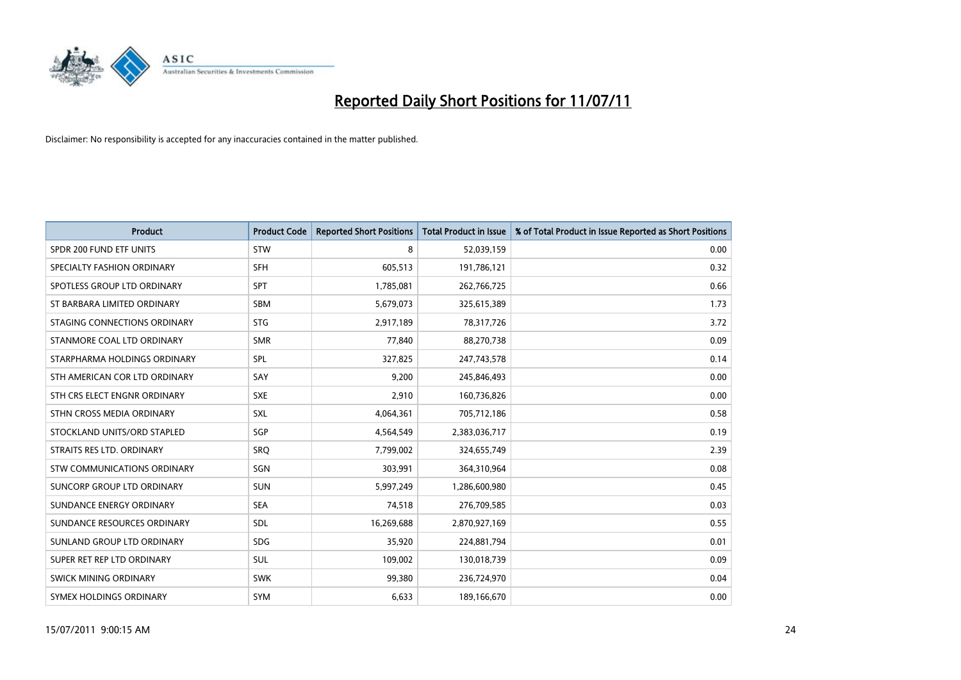

| <b>Product</b>                | <b>Product Code</b> | <b>Reported Short Positions</b> | Total Product in Issue | % of Total Product in Issue Reported as Short Positions |
|-------------------------------|---------------------|---------------------------------|------------------------|---------------------------------------------------------|
| SPDR 200 FUND ETF UNITS       | <b>STW</b>          | 8                               | 52,039,159             | 0.00                                                    |
| SPECIALTY FASHION ORDINARY    | <b>SFH</b>          | 605,513                         | 191,786,121            | 0.32                                                    |
| SPOTLESS GROUP LTD ORDINARY   | <b>SPT</b>          | 1,785,081                       | 262,766,725            | 0.66                                                    |
| ST BARBARA LIMITED ORDINARY   | SBM                 | 5,679,073                       | 325,615,389            | 1.73                                                    |
| STAGING CONNECTIONS ORDINARY  | <b>STG</b>          | 2,917,189                       | 78,317,726             | 3.72                                                    |
| STANMORE COAL LTD ORDINARY    | <b>SMR</b>          | 77,840                          | 88,270,738             | 0.09                                                    |
| STARPHARMA HOLDINGS ORDINARY  | SPL                 | 327,825                         | 247,743,578            | 0.14                                                    |
| STH AMERICAN COR LTD ORDINARY | SAY                 | 9,200                           | 245,846,493            | 0.00                                                    |
| STH CRS ELECT ENGNR ORDINARY  | <b>SXE</b>          | 2,910                           | 160,736,826            | 0.00                                                    |
| STHN CROSS MEDIA ORDINARY     | <b>SXL</b>          | 4,064,361                       | 705,712,186            | 0.58                                                    |
| STOCKLAND UNITS/ORD STAPLED   | SGP                 | 4,564,549                       | 2,383,036,717          | 0.19                                                    |
| STRAITS RES LTD. ORDINARY     | SRQ                 | 7,799,002                       | 324,655,749            | 2.39                                                    |
| STW COMMUNICATIONS ORDINARY   | SGN                 | 303,991                         | 364,310,964            | 0.08                                                    |
| SUNCORP GROUP LTD ORDINARY    | <b>SUN</b>          | 5,997,249                       | 1,286,600,980          | 0.45                                                    |
| SUNDANCE ENERGY ORDINARY      | <b>SEA</b>          | 74,518                          | 276,709,585            | 0.03                                                    |
| SUNDANCE RESOURCES ORDINARY   | SDL                 | 16,269,688                      | 2,870,927,169          | 0.55                                                    |
| SUNLAND GROUP LTD ORDINARY    | <b>SDG</b>          | 35,920                          | 224,881,794            | 0.01                                                    |
| SUPER RET REP LTD ORDINARY    | SUL                 | 109,002                         | 130,018,739            | 0.09                                                    |
| <b>SWICK MINING ORDINARY</b>  | <b>SWK</b>          | 99,380                          | 236,724,970            | 0.04                                                    |
| SYMEX HOLDINGS ORDINARY       | <b>SYM</b>          | 6,633                           | 189,166,670            | 0.00                                                    |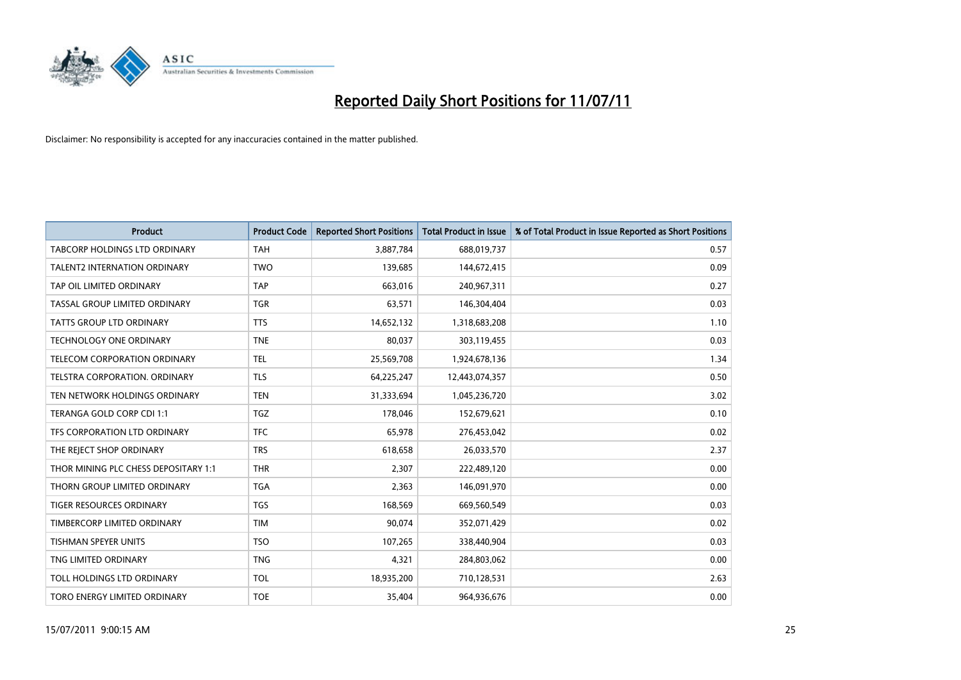

| <b>Product</b>                       | <b>Product Code</b> | <b>Reported Short Positions</b> | Total Product in Issue | % of Total Product in Issue Reported as Short Positions |
|--------------------------------------|---------------------|---------------------------------|------------------------|---------------------------------------------------------|
| <b>TABCORP HOLDINGS LTD ORDINARY</b> | <b>TAH</b>          | 3,887,784                       | 688,019,737            | 0.57                                                    |
| TALENT2 INTERNATION ORDINARY         | <b>TWO</b>          | 139,685                         | 144,672,415            | 0.09                                                    |
| TAP OIL LIMITED ORDINARY             | <b>TAP</b>          | 663,016                         | 240,967,311            | 0.27                                                    |
| TASSAL GROUP LIMITED ORDINARY        | <b>TGR</b>          | 63,571                          | 146,304,404            | 0.03                                                    |
| <b>TATTS GROUP LTD ORDINARY</b>      | <b>TTS</b>          | 14,652,132                      | 1,318,683,208          | 1.10                                                    |
| <b>TECHNOLOGY ONE ORDINARY</b>       | <b>TNE</b>          | 80,037                          | 303,119,455            | 0.03                                                    |
| TELECOM CORPORATION ORDINARY         | <b>TEL</b>          | 25,569,708                      | 1,924,678,136          | 1.34                                                    |
| TELSTRA CORPORATION. ORDINARY        | <b>TLS</b>          | 64,225,247                      | 12,443,074,357         | 0.50                                                    |
| TEN NETWORK HOLDINGS ORDINARY        | <b>TEN</b>          | 31,333,694                      | 1,045,236,720          | 3.02                                                    |
| TERANGA GOLD CORP CDI 1:1            | <b>TGZ</b>          | 178,046                         | 152,679,621            | 0.10                                                    |
| TFS CORPORATION LTD ORDINARY         | <b>TFC</b>          | 65,978                          | 276,453,042            | 0.02                                                    |
| THE REJECT SHOP ORDINARY             | <b>TRS</b>          | 618,658                         | 26,033,570             | 2.37                                                    |
| THOR MINING PLC CHESS DEPOSITARY 1:1 | <b>THR</b>          | 2,307                           | 222,489,120            | 0.00                                                    |
| THORN GROUP LIMITED ORDINARY         | <b>TGA</b>          | 2,363                           | 146,091,970            | 0.00                                                    |
| <b>TIGER RESOURCES ORDINARY</b>      | <b>TGS</b>          | 168,569                         | 669,560,549            | 0.03                                                    |
| TIMBERCORP LIMITED ORDINARY          | <b>TIM</b>          | 90,074                          | 352,071,429            | 0.02                                                    |
| TISHMAN SPEYER UNITS                 | <b>TSO</b>          | 107,265                         | 338,440,904            | 0.03                                                    |
| TNG LIMITED ORDINARY                 | <b>TNG</b>          | 4,321                           | 284,803,062            | 0.00                                                    |
| TOLL HOLDINGS LTD ORDINARY           | <b>TOL</b>          | 18,935,200                      | 710,128,531            | 2.63                                                    |
| TORO ENERGY LIMITED ORDINARY         | <b>TOE</b>          | 35,404                          | 964,936,676            | 0.00                                                    |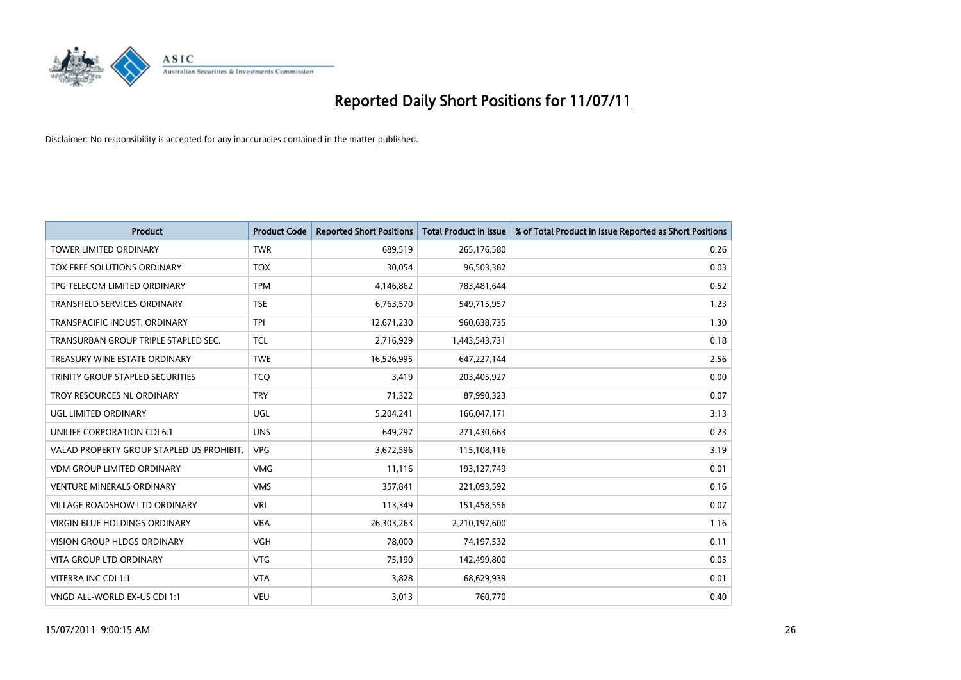

| <b>Product</b>                            | <b>Product Code</b> | <b>Reported Short Positions</b> | Total Product in Issue | % of Total Product in Issue Reported as Short Positions |
|-------------------------------------------|---------------------|---------------------------------|------------------------|---------------------------------------------------------|
| <b>TOWER LIMITED ORDINARY</b>             | <b>TWR</b>          | 689,519                         | 265,176,580            | 0.26                                                    |
| TOX FREE SOLUTIONS ORDINARY               | <b>TOX</b>          | 30,054                          | 96,503,382             | 0.03                                                    |
| TPG TELECOM LIMITED ORDINARY              | <b>TPM</b>          | 4,146,862                       | 783,481,644            | 0.52                                                    |
| TRANSFIELD SERVICES ORDINARY              | <b>TSE</b>          | 6,763,570                       | 549,715,957            | 1.23                                                    |
| TRANSPACIFIC INDUST, ORDINARY             | <b>TPI</b>          | 12,671,230                      | 960,638,735            | 1.30                                                    |
| TRANSURBAN GROUP TRIPLE STAPLED SEC.      | <b>TCL</b>          | 2,716,929                       | 1,443,543,731          | 0.18                                                    |
| TREASURY WINE ESTATE ORDINARY             | <b>TWE</b>          | 16,526,995                      | 647,227,144            | 2.56                                                    |
| TRINITY GROUP STAPLED SECURITIES          | <b>TCO</b>          | 3,419                           | 203,405,927            | 0.00                                                    |
| TROY RESOURCES NL ORDINARY                | <b>TRY</b>          | 71,322                          | 87,990,323             | 0.07                                                    |
| UGL LIMITED ORDINARY                      | <b>UGL</b>          | 5,204,241                       | 166,047,171            | 3.13                                                    |
| UNILIFE CORPORATION CDI 6:1               | <b>UNS</b>          | 649,297                         | 271,430,663            | 0.23                                                    |
| VALAD PROPERTY GROUP STAPLED US PROHIBIT. | <b>VPG</b>          | 3,672,596                       | 115,108,116            | 3.19                                                    |
| <b>VDM GROUP LIMITED ORDINARY</b>         | <b>VMG</b>          | 11,116                          | 193,127,749            | 0.01                                                    |
| <b>VENTURE MINERALS ORDINARY</b>          | <b>VMS</b>          | 357,841                         | 221,093,592            | 0.16                                                    |
| <b>VILLAGE ROADSHOW LTD ORDINARY</b>      | <b>VRL</b>          | 113,349                         | 151,458,556            | 0.07                                                    |
| VIRGIN BLUE HOLDINGS ORDINARY             | <b>VBA</b>          | 26,303,263                      | 2,210,197,600          | 1.16                                                    |
| VISION GROUP HLDGS ORDINARY               | <b>VGH</b>          | 78,000                          | 74,197,532             | 0.11                                                    |
| <b>VITA GROUP LTD ORDINARY</b>            | <b>VTG</b>          | 75,190                          | 142,499,800            | 0.05                                                    |
| VITERRA INC CDI 1:1                       | <b>VTA</b>          | 3,828                           | 68,629,939             | 0.01                                                    |
| VNGD ALL-WORLD EX-US CDI 1:1              | <b>VEU</b>          | 3,013                           | 760,770                | 0.40                                                    |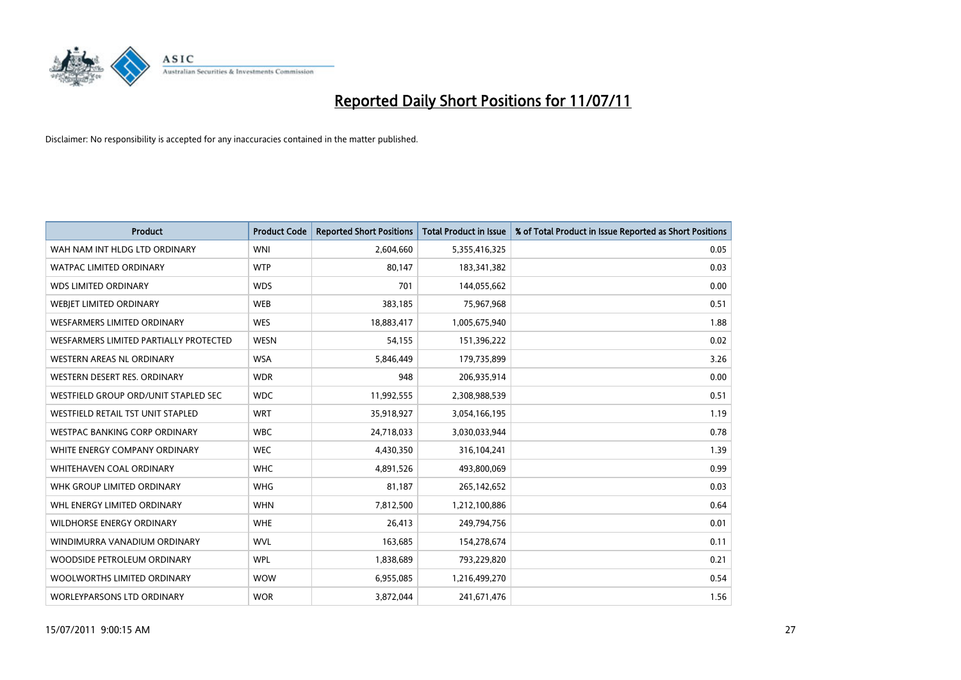

| <b>Product</b>                         | <b>Product Code</b> | <b>Reported Short Positions</b> | <b>Total Product in Issue</b> | % of Total Product in Issue Reported as Short Positions |
|----------------------------------------|---------------------|---------------------------------|-------------------------------|---------------------------------------------------------|
| WAH NAM INT HLDG LTD ORDINARY          | <b>WNI</b>          | 2,604,660                       | 5,355,416,325                 | 0.05                                                    |
| <b>WATPAC LIMITED ORDINARY</b>         | <b>WTP</b>          | 80,147                          | 183,341,382                   | 0.03                                                    |
| <b>WDS LIMITED ORDINARY</b>            | <b>WDS</b>          | 701                             | 144,055,662                   | 0.00                                                    |
| WEBIET LIMITED ORDINARY                | <b>WEB</b>          | 383,185                         | 75,967,968                    | 0.51                                                    |
| <b>WESFARMERS LIMITED ORDINARY</b>     | <b>WES</b>          | 18,883,417                      | 1,005,675,940                 | 1.88                                                    |
| WESFARMERS LIMITED PARTIALLY PROTECTED | <b>WESN</b>         | 54,155                          | 151,396,222                   | 0.02                                                    |
| WESTERN AREAS NL ORDINARY              | <b>WSA</b>          | 5,846,449                       | 179,735,899                   | 3.26                                                    |
| WESTERN DESERT RES. ORDINARY           | <b>WDR</b>          | 948                             | 206,935,914                   | 0.00                                                    |
| WESTFIELD GROUP ORD/UNIT STAPLED SEC   | <b>WDC</b>          | 11,992,555                      | 2,308,988,539                 | 0.51                                                    |
| WESTFIELD RETAIL TST UNIT STAPLED      | <b>WRT</b>          | 35,918,927                      | 3,054,166,195                 | 1.19                                                    |
| WESTPAC BANKING CORP ORDINARY          | <b>WBC</b>          | 24,718,033                      | 3,030,033,944                 | 0.78                                                    |
| WHITE ENERGY COMPANY ORDINARY          | <b>WEC</b>          | 4,430,350                       | 316,104,241                   | 1.39                                                    |
| <b>WHITEHAVEN COAL ORDINARY</b>        | <b>WHC</b>          | 4,891,526                       | 493,800,069                   | 0.99                                                    |
| WHK GROUP LIMITED ORDINARY             | <b>WHG</b>          | 81,187                          | 265,142,652                   | 0.03                                                    |
| WHL ENERGY LIMITED ORDINARY            | <b>WHN</b>          | 7,812,500                       | 1,212,100,886                 | 0.64                                                    |
| WILDHORSE ENERGY ORDINARY              | <b>WHE</b>          | 26,413                          | 249,794,756                   | 0.01                                                    |
| WINDIMURRA VANADIUM ORDINARY           | <b>WVL</b>          | 163,685                         | 154,278,674                   | 0.11                                                    |
| WOODSIDE PETROLEUM ORDINARY            | <b>WPL</b>          | 1,838,689                       | 793,229,820                   | 0.21                                                    |
| WOOLWORTHS LIMITED ORDINARY            | <b>WOW</b>          | 6,955,085                       | 1,216,499,270                 | 0.54                                                    |
| <b>WORLEYPARSONS LTD ORDINARY</b>      | <b>WOR</b>          | 3,872,044                       | 241,671,476                   | 1.56                                                    |